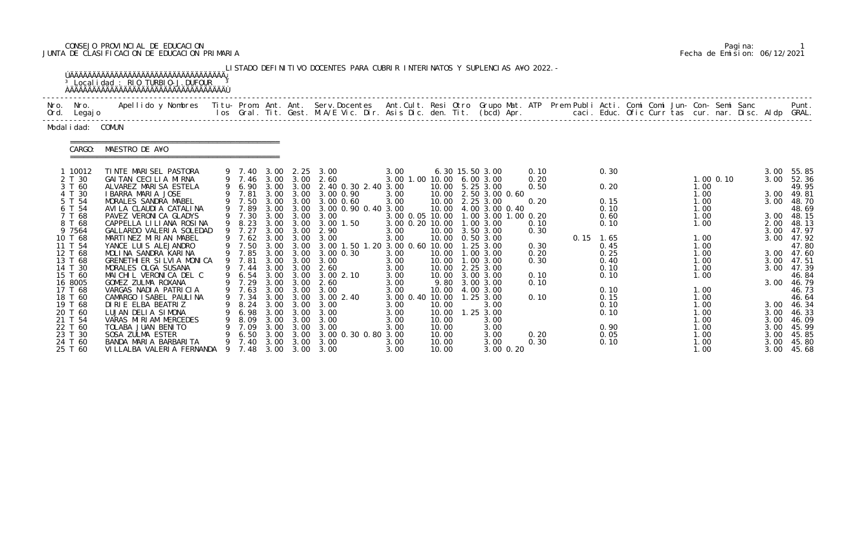# CONSEJO PROVINCIAL DE EDUCACION Pagina: 1 JUNTA DE CLASIFICACION DE EDUCACION PRIMARIA Fecha de Emision: 06/12/2021

|                               |                                                                                                                                                                                                                                   |   |                            |                      |                                | LISTADO DEFINITIVO DOCENTES PARA CUBRIR INTERINATOS Y SUPLENCIAS A¥O 2022. –                     |                                                        |                         |                                                            |              |                      |                      |                      |                                   |
|-------------------------------|-----------------------------------------------------------------------------------------------------------------------------------------------------------------------------------------------------------------------------------|---|----------------------------|----------------------|--------------------------------|--------------------------------------------------------------------------------------------------|--------------------------------------------------------|-------------------------|------------------------------------------------------------|--------------|----------------------|----------------------|----------------------|-----------------------------------|
| Nro. Nro.<br>Ord. Legajo      | Apellido y Nombres  Titu- Prom. Ant. Ant.  Serv.Docentes  Ant.Cult. Resi Otro  Grupo Mat. ATP  Prem Publi Acti. Comi Comi Jun- Con- Semi Sanc                Punt.<br>Ios Gral. Tit. Gest. M.A/E Vic. Dir. Asis Dic. den. Tit. (b |   |                            |                      |                                |                                                                                                  |                                                        |                         |                                                            |              |                      |                      |                      |                                   |
| Modal i dad: COMUN            |                                                                                                                                                                                                                                   |   |                            |                      |                                |                                                                                                  |                                                        |                         |                                                            |              |                      |                      |                      |                                   |
| CARGO:                        | ======================================<br>MAESTRO DE A¥O                                                                                                                                                                          |   |                            |                      |                                |                                                                                                  |                                                        |                         |                                                            |              |                      |                      |                      |                                   |
| 1 10012<br>2 T 30             | TINTE MARISEL PASTORA<br>GAITAN CECILIA MIRNA                                                                                                                                                                                     |   |                            |                      |                                | 9 7.40 3.00 2.25 3.00<br>9 7.46 3.00 3.00 2.60                                                   | 3.00<br>3.00 1.00 10.00 6.00 3.00                      |                         | 6.30 15.50 3.00                                            | 0.10<br>0.20 | 0.30                 | $1.00$ 0.10          | 3.00<br>3.00         | 55.85<br>52.36                    |
| 3 T 60<br>4 T 30<br>5 T 54    | ALVAREZ MARISA ESTELA<br>I BARRA MARIA JOSE<br>MORALES SANDRA MABEL                                                                                                                                                               |   |                            |                      |                                | 9 6.90 3.00 3.00 2.40 0.30 2.40 3.00<br>9 7.81 3.00 3.00 3.00 0.90<br>9 7.50 3.00 3.00 3.00 0.60 | 3.00<br>3.00                                           |                         | 10.00 5.25 3.00<br>10.00 2.50 3.00 0.60<br>10.00 2.25 3.00 | 0.50<br>0.20 | 0.20<br>0.15         | 1.00<br>1.00<br>1.00 | 3.00                 | 49.95<br>49.81<br>3.00 48.70      |
| 6 T 54<br>7 T 68<br>8 T 68    | AVI LA CLAUDI A CATALI NA<br>PAVEZ VERONICA GLADYS<br>CAPPELLA LI LI ANA ROSINA                                                                                                                                                   |   | 9 7.89<br>9 7.30<br>9 8.23 |                      | 3.00 3.00                      | 3.00 3.00 3.00 0.90 0.40 3.00<br>3.00<br>3.00 3.00 3.00 1.50                                     | 3.00 0.05 10.00 1.00 3.00 1.00 0.20<br>3.00 0.20 10.00 |                         | 10.00 4.00 3.00 0.40<br>1.00 3.00                          | 0.10         | 0.10<br>0.60<br>0.10 | 1.00<br>1.00<br>1.00 |                      | 48.69<br>3.00 48.15<br>2.00 48.13 |
| 9 7564<br>10 T 68<br>11 T 54  | GALLARDO VALERIA SOLEDAD<br>MARTINEZ MIRIAN MABEL<br>YANCE LUIS ALEJANDRO                                                                                                                                                         |   | 9 7.27                     |                      |                                | 3.00 3.00 2.90<br>9 7.62 3.00 3.00 3.00<br>9 7.50 3.00 3.00 3.00 1.50 1.20 3.00 0.60 10.00       | 3.00<br>3.00                                           |                         | 10.00 3.50 3.00<br>10.00  0.50  3.00<br>$1.25$ $3.00$      | 0.30<br>0.30 | $0.15$ 1.65<br>0.45  | 1.00<br>1.00         | 3.00<br>3.00         | 47.97<br>47.92<br>47.80           |
| 12 T 68<br>13 T 68<br>14 T 30 | MOLINA SANDRA KARINA<br>GRENETHIER SILVIA MONICA<br>MORALES OLGA SUSANA                                                                                                                                                           |   | 9 7.85<br>9 7.81<br>9 7.44 | 3.00                 | 3.00 3.00<br>3.00 3.00<br>3.00 | 3.00 0.30<br>3.00<br>2.60                                                                        | 3.00<br>3.00<br>3.00                                   | 10.00                   | 1.00 3.00<br>10.00  1.00  3.00<br>10.00 2.25 3.00          | 0.20<br>0.30 | 0.25<br>0.40<br>0.10 | 1.00<br>1.00<br>1.00 | 3.00                 | 3.00 47.60<br>3.00 47.51<br>47.39 |
| 15 T 60<br>16 8005<br>17 T 68 | MAICHIL VERONICA DEL C<br>GOMEZ ZULMA ROXANA<br>VARGAS NADIA PATRICIA                                                                                                                                                             |   | 9 6.54<br>9 7.29           |                      |                                | 3.00 3.00 3.00 2.10<br>3.00 3.00 2.60<br>9 7.63 3.00 3.00 3.00                                   | 3.00<br>3.00<br>3.00                                   |                         | 10.00 3.00 3.00<br>9.80 3.00 3.00<br>10.00 4.00 3.00       | 0.10<br>0.10 | 0.10<br>0.10         | 1.00<br>1.00         | 3.00                 | 46.84<br>46.79<br>46.73           |
| 18 T 60<br>19 T 68<br>20 T 60 | CAMARGO I SABEL PAULINA<br>DIRIE ELBA BEATRIZ<br>LUJAN DELIA SIMONA                                                                                                                                                               | 9 | 8. 24<br>6.98              | 3.00<br>3.00         | 3.00<br>3.00                   | 9 7.34 3.00 3.00 3.00 2.40<br>3.00<br>3.00                                                       | 3.00 0.40 10.00 1.25 3.00<br>3.00<br>3.00              | 10.00<br>10.00          | 3.00<br>1.25 3.00                                          | 0.10         | 0.15<br>0.10<br>0.10 | 1.00<br>1.00<br>1.00 | 3.00                 | 46.64<br>3.00 46.34<br>46.33      |
| 21 T 54<br>22 T 60<br>23 T 30 | VARAS MIRIAM MERCEDES<br>TOLABA JUAN BENITO<br>SOSA ZULMA ESTER                                                                                                                                                                   |   | 8.09<br>7.09<br>6.50       | 3.00<br>3.00<br>3.00 | 3.00<br>3.00<br>3.00           | 3.00<br>3.00<br>3.00 0.30 0.80                                                                   | 3.00<br>3.00<br>3.00                                   | 10.00<br>10.00<br>10.00 | 3.00<br>3.00<br>3.00                                       | 0.20         | 0.90<br>0.05         | 1.00<br>1.00<br>1.00 | 3.00<br>3.00<br>3.00 | 46.09<br>45.99<br>45.85           |
| 24 T 60<br>25 T 60            | BANDA MARIA BARBARITA<br>VI LLALBA VALERI A FERNANDA                                                                                                                                                                              |   | 9 7.40<br>9 7.48           | 3.00                 | 3.00                           | 3.00<br>3.00 3.00 3.00                                                                           | 3.00<br>3.00                                           | 10.00<br>10.00          | 3.00<br>3.00 0.20                                          | 0.30         | 0.10                 | 1.00<br>1.00         | 3.00<br>3.00         | 45.80<br>45.68                    |

|  | Pagi na: |                              |
|--|----------|------------------------------|
|  |          | Fecha de Emision: 06/12/2021 |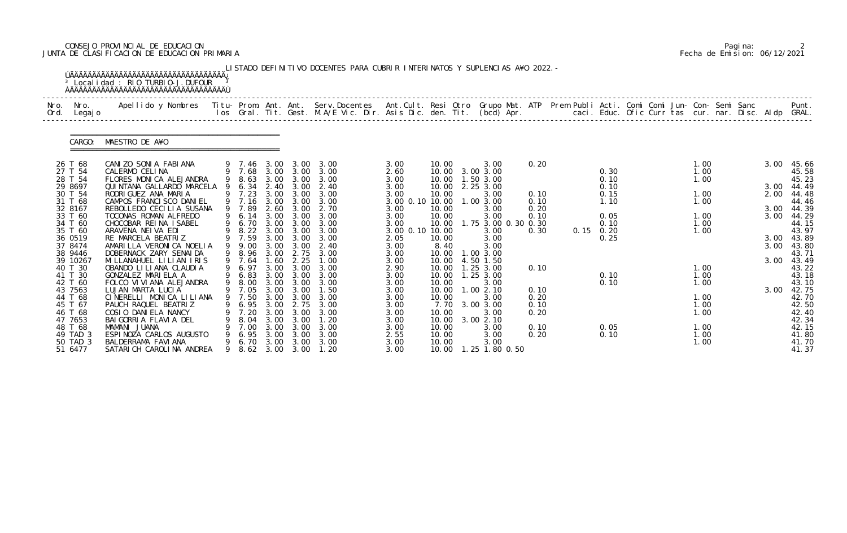# CONSEJO PROVINCIAL DE EDUCACION Pagina: 2 JUNTA DE CLASIFICACION DE EDUCACION PRIMARIA Fecha de Emision: 06/12/2021

| Nro.<br>Ord. | Nro.<br>Legaj o                            | Apellido y Nombres - Titu- Prom. Ant. Ant. Serv.Docentes - Ant.Cult. Resi Otro Grupo Mat. ATP - Prem Publi Acti. Comi Comi Jun- Con- Semi Sanc<br>Ios Gral. Tit. Gest. M.A/E Vic. Dir. Asis Dic. den. Tit. (bcd) Apr. |   |                                |                              |                              |                                         |                                         |                                  |                                             |                      |      |                      |                      |  |              | Punt.<br>GRAL.                   |
|--------------|--------------------------------------------|-----------------------------------------------------------------------------------------------------------------------------------------------------------------------------------------------------------------------|---|--------------------------------|------------------------------|------------------------------|-----------------------------------------|-----------------------------------------|----------------------------------|---------------------------------------------|----------------------|------|----------------------|----------------------|--|--------------|----------------------------------|
|              | CARGO:                                     | MAESTRO DE A¥O                                                                                                                                                                                                        |   |                                |                              |                              |                                         |                                         |                                  |                                             |                      |      |                      |                      |  |              |                                  |
|              | 26 T 68<br>27 T 54<br>28 T 54              | CANIZO SONIA FABIANA<br>CALERMO CELINA<br>FLORES MONICA ALEJANDRA                                                                                                                                                     | 9 | 9 7.46<br>9 7.68<br>8.63       | 3.00<br>3.00<br>3.00         | 3.00<br>3.00<br>3.00         | 3.00<br>3.00<br>3.00                    | 3.00<br>2.60<br>3.00                    | 10.00<br>10.00<br>10.00          | 3.00<br>3.00 3.00<br>1.50 3.00              | 0.20                 |      | 0.30<br>0.10         | 1.00<br>1.00<br>1.00 |  | 3.00         | 45.66<br>45.58<br>45.23          |
|              | 29 8697<br>30 T 54<br>31 T 68              | QUINTANA GALLARDO MARCELA<br>RODRI GUEZ ANA MARIA<br>CAMPOS FRANCI SCO DANIEL                                                                                                                                         |   | 6.34<br>9 7.23<br>9 7.16       | 2.40<br>3.00<br>3.00         | 3.00<br>3.00<br>3.00         | 2.40<br>3.00<br>3.00                    | 3.00<br>3.00<br>3.00 0.10 10.00         | 10.00<br>10.00                   | 2.25 3.00<br>3.00<br>1.00 3.00              | 0.10<br>0.10         |      | 0.10<br>0.15<br>1.10 | 1.00<br>1.00         |  | 3.00<br>2.00 | 44.49<br>44.48<br>44.46          |
|              | 32 8167<br>33 T 60<br>34 T 60<br>35 T 60   | REBOLLEDO CECILIA SUSANA<br>TOCONAS ROMAN ALFREDO<br>CHOCOBAR REINA ISABEL<br>ARAVENA NEIVA EDI                                                                                                                       | 9 | 9 7.89<br>6.14<br>6.70<br>8.22 | 2.60<br>3.00<br>3.00<br>3.00 | 3.00<br>3.00<br>3.00<br>3.00 | 2.70<br>3.00<br>3.00<br>3.00            | 3.00<br>3.00<br>3.00<br>3.00 0.10 10.00 | 10.00<br>10.00<br>10.00          | 3.00<br>3.00<br>1.75 3.00 0.30 0.30<br>3.00 | 0.20<br>0.10<br>0.30 | 0.15 | 0.05<br>0.10<br>0.20 | 1.00<br>1.00<br>1.00 |  | 3.00<br>3.00 | 44.39<br>44.29<br>44.15<br>43.97 |
|              | 36 0519<br>37 8474<br>38 9446              | RE MARCELA BEATRIZ<br>AMARILLA VERONICA NOELIA<br>DOBERNACK ZARY SENAI DA                                                                                                                                             |   | 9 7.59<br>9.00<br>8.96         | 3.00<br>3.00<br>3.00         | 3.00<br>3.00<br>2.75         | 3.00<br>2.40<br>3.00                    | 2.05<br>3.00<br>3.00                    | 10.00<br>8.40<br>10.00           | 3.00<br>3.00<br>1.00 3.00                   |                      |      | 0.25                 |                      |  | 3.00<br>3.00 | 43.89<br>43.80<br>43.71          |
|              | 39 10267<br>40 T 30<br>41 T 30             | MILLANAHUEL LILIAN IRIS<br>OBANDO LI LI ANA CLAUDI A<br>GONZALEZ MARIELA A                                                                                                                                            |   | 9 7.64<br>6.97<br>6.83         | 1.60<br>3.00<br>3.00         | 2.25<br>3.00<br>3.00         | 1.00<br>3.00<br>3.00                    | 3.00<br>2.90<br>3.00                    | 10.00<br>10.00<br>10.00          | 4.50 1.50<br>1.25 3.00<br>1.25 3.00         | 0.10                 |      | 0.10                 | 1.00<br>1.00         |  | 3.00         | 43.49<br>43.22<br>43.18          |
|              | 42 T 60<br>43 7563<br>44 T 68              | FOLCO VI VI ANA ALEJANDRA<br>LUJAN MARTA LUCIA<br>CINERELLI MONICA LILIANA                                                                                                                                            |   | 8.00<br>7.05<br>9 7.50         | 3.00<br>3.00<br>3.00         | 3.00<br>3.00<br>3.00         | 3.00<br>1.50<br>3.00                    | 3.00<br>3.00<br>3.00                    | 10.00<br>10.00<br>10.00          | 3.00<br>1.002.10<br>3.00                    | 0.10<br>0.20         |      | 0.10                 | 1.00<br>1.00         |  | 3.00         | 43.10<br>42.75<br>42.70          |
|              | 45 T 67<br>46 T 68<br>47 7653              | PAUCH RAQUEL BEATRIZ<br>COSIO DANIELA NANCY<br>BAI GORRI A FLAVI A DEL                                                                                                                                                | 9 | 6.95<br>7.20<br>8.04           | 3.00<br>3.00<br>3.00         | 2.75<br>3.00<br>3.00         | 3.00<br>3.00<br>1.20                    | 3.00<br>3.00<br>3.00                    | 7.70<br>10.00<br>10.00           | 3.00 3.00<br>3.00<br>3.00 2.10              | 0.10<br>0.20         |      |                      | 1. 00<br>1.00        |  |              | 42.50<br>42.40<br>42.34          |
|              | 48 T 68<br>49 TAD 3<br>50 TAD 3<br>51 6477 | MAMANI JUANA<br>ESPINOZA CARLOS AUGUSTO<br>BALDERRAMA FAVI ANA<br>SATARI CH CAROLINA ANDREA                                                                                                                           |   | 7.00<br>6.95<br>6.70<br>8.62   | 3.00<br>3.00                 | 3.00<br>3.00<br>3.00 3.00    | 3.00<br>3.00<br>3.00 3.00 3.00<br>1. 20 | 3.00<br>2.55<br>3.00<br>3.00            | 10.00<br>10.00<br>10.00<br>10.00 | 3.00<br>3.00<br>3.00<br>1.25 1.80 0.50      | 0.10<br>0.20         |      | 0.05<br>0.10         | 1.00<br>1.00<br>1.00 |  |              | 42.15<br>41.80<br>41.70<br>41.37 |

|  | Pagi na: |                              |
|--|----------|------------------------------|
|  |          | Fecha de Emision: 06/12/2021 |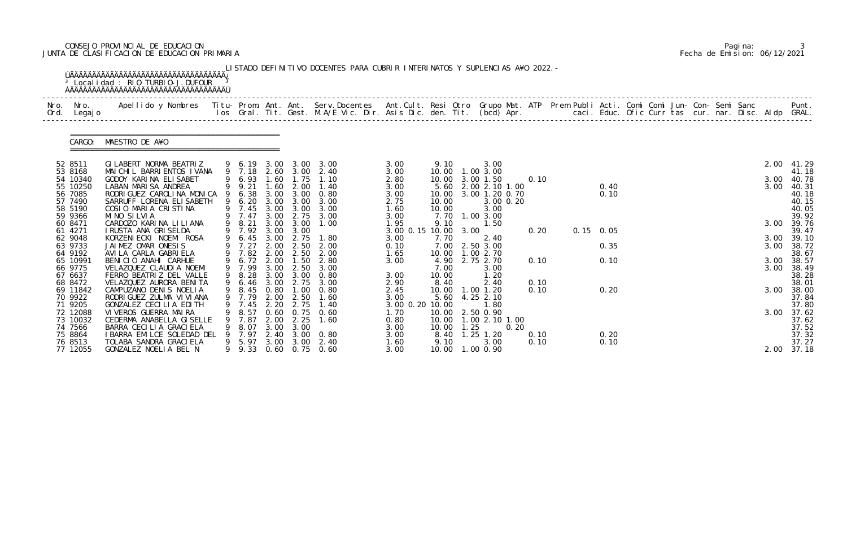# CONSEJO PROVINCIAL DE EDUCACION Pagina: 3 JUNTA DE CLASIFICACION DE EDUCACION PRIMARIA Fecha de Emision: 06/12/2021

| Nro. Nro.<br>Ord. Legajo | Apellido y Nombres  Titu- Prom. Ant. Ant. Serv.Docentes  Ant.Cult. Resi Otro Grupo Mat. ATP Prem Publi Acti. Comi Comi Jun- Con- Semi Sanc             Punt.<br>Ios Gral. Tit. Gest. M.A/E Vic. Dir. Asis Dic. den. Tit. (bcd) Ap |   |                  |              |                   |                                                |                 |                   |      |                                |      |      |  |             |  |  |  |              |                |
|--------------------------|-----------------------------------------------------------------------------------------------------------------------------------------------------------------------------------------------------------------------------------|---|------------------|--------------|-------------------|------------------------------------------------|-----------------|-------------------|------|--------------------------------|------|------|--|-------------|--|--|--|--------------|----------------|
|                          | CARGO: MAESTRO DE A¥O                                                                                                                                                                                                             |   |                  |              |                   |                                                |                 |                   |      |                                |      |      |  |             |  |  |  |              |                |
| 52 8511                  | GILABERT NORMA BEATRIZ                                                                                                                                                                                                            |   |                  |              |                   | 9 6.19 3.00 3.00 3.00                          | 3.00            | 9.10              |      | 3.00                           |      |      |  |             |  |  |  |              | 2.00 41.29     |
| 53 8168<br>54 10340      | MAI CHI L BARRI ENTOS I VANA<br>GODOY KARINA ELISABET                                                                                                                                                                             |   | 9 6.93           | 1.60         | 1.75              | 9 7.18 2.60 3.00 2.40<br>1.10                  | 3.00<br>2.80    | 10.00             |      | 10.00  1.00  3.00<br>3.00 1.50 |      | 0.10 |  |             |  |  |  | 3.00         | 41.18<br>40.78 |
| 55 10250                 | LABAN MARISA ANDREA                                                                                                                                                                                                               |   | 9 9.21           |              | 1.60 2.00         | 1.40                                           | 3.00            |                   |      | 5.60 2.00 2.10 1.00            |      |      |  | 0.40        |  |  |  | 3.00         | 40.31          |
| 56 7085                  | RODRI GUEZ CAROLINA MONICA                                                                                                                                                                                                        |   | 9 6.38           |              |                   | 3.00 3.00 0.80                                 | 3.00            | 10.00             |      | 3.00 1.20 0.70                 |      |      |  | 0.10        |  |  |  |              | 40.18          |
| 57 7490<br>58 5190       | SARRUFF LORENA ELISABETH<br>COSIO MARIA CRISTINA                                                                                                                                                                                  |   | 9 6.20<br>9 7.45 | 3.00<br>3.00 | 3.00<br>3.00      | 3.00<br>3.00                                   | 2.75<br>1.60    | 10.00<br>10.00    |      | 3.00 0.20<br>3.00              |      |      |  |             |  |  |  |              | 40.15<br>40.05 |
| 59 9366                  | MINO SILVIA                                                                                                                                                                                                                       |   | 9 7.47           | 3.00         | 2.75              | 3.00                                           | 3.00            |                   |      | 7.70 1.00 3.00                 |      |      |  |             |  |  |  |              | 39.92          |
| 60 8471                  | CARDOZO KARINA LILIANA                                                                                                                                                                                                            |   | 9 8.21           | 3.00         | 3.00              | 1.00                                           | 1.95            | 9.10              |      | 1.50                           |      |      |  |             |  |  |  | 3.00         | 39.76          |
| 61 4271                  | I RUSTA ANA GRISELDA                                                                                                                                                                                                              |   | 9 7.92           | 3.00         | 3.00              |                                                | 3.00 0.15       | 10.00 3.00        |      |                                |      | 0.20 |  | $0.15$ 0.05 |  |  |  |              | 39.47          |
| 62 9048<br>63 9733       | KORZENIECKI NOEMI ROSA<br>JAIMEZ OMAR ONESIS                                                                                                                                                                                      |   | 9 6.45<br>9 7.27 | 2.00         | 3.00 2.75<br>2.50 | 1.80<br>2.00                                   | 3.00<br>0.10    | 7.70<br>7.00      |      | 2.40<br>2.50 3.00              |      |      |  | 0.35        |  |  |  | 3.00<br>3.00 | 39.10<br>38.72 |
| 64 9192                  | AVI LA CARLA GABRI ELA                                                                                                                                                                                                            |   | 9 7.82 2.00      |              | 2.50              | 2.00                                           | 1.65            | 10.00  1.00  2.70 |      |                                |      |      |  |             |  |  |  |              | 38.67          |
| 65 10991                 | BENICIO ANAHI CARHUE                                                                                                                                                                                                              |   | 9 6.72 2.00      |              |                   | $1.50$ $2.80$                                  | 3.00            | 4.90              |      | 2.75 2.70                      |      | 0.10 |  | 0.10        |  |  |  | 3.00         | 38.57          |
| 66 9775                  | VELAZQUEZ CLAUDIA NOEMI                                                                                                                                                                                                           |   | 9 7.99           | 3.00         | 2.50              | 3.00                                           |                 | 7.00              |      | 3.00                           |      |      |  |             |  |  |  | 3.00         | 38.49          |
| 67 6637<br>68 8472       | FERRO BEATRIZ DEL VALLE<br>VELAZQUEZ AURORA BENITA                                                                                                                                                                                |   | 9 8.28           | 3.00         | 3.00              | 0.80                                           | 3.00<br>2.90    | 10.00<br>8.40     |      | 1.20<br>2.40                   |      | 0.10 |  |             |  |  |  |              | 38.28<br>38.01 |
| 69 11842                 | CAMPUZANO DENIS NOELIA                                                                                                                                                                                                            |   |                  |              |                   | 9 6.46 3.00 2.75 3.00<br>9 8.45 0.80 1.00 0.80 | 2.45            |                   |      | 10.00  1.00  1.20              |      | 0.10 |  | 0.20        |  |  |  | 3.00         | 38.00          |
| 70 9922                  | RODRI GUEZ ZULMA VI VI ANA                                                                                                                                                                                                        |   | 9 7.79           | 2.00         | 2.50              | 1.60                                           | 3.00            |                   |      | 5.60 4.25 2.10                 |      |      |  |             |  |  |  |              | 37.84          |
| 71 9205                  | GONZALEZ CECILIA EDITH                                                                                                                                                                                                            | 9 | 7.45             | 2.20         | 2.75              | 1.40                                           | 3.00 0.20 10.00 |                   |      | 1.80                           |      |      |  |             |  |  |  |              | 37.80          |
| 72 12088                 | VI VEROS GUERRA MAIRA                                                                                                                                                                                                             |   | 8.57             | 0.60         | 0.75              | 0.60                                           | 1. 70           | 10.00             |      | 2.50 0.90                      |      |      |  |             |  |  |  | 3.00         | 37.62          |
| 73 10032<br>74 7566      | CEDERMA ANABELLA GISELLE<br>BARRA CECILIA GRACIELA                                                                                                                                                                                |   | 7.87<br>8.07     | 2.00         | 2.25<br>3.00 3.00 | 1.60                                           | 0.80<br>3.00    | 10.00             | 1.25 | 10.00 1.00 2.10 1.00           | 0.20 |      |  |             |  |  |  |              | 37.62<br>37.52 |
| 75 8864                  | I BARRA EMILCE SOLEDAD DEL                                                                                                                                                                                                        |   | 7.97             | 2.40         | 3.00              | 0.80                                           | 3.00            | 8.40              |      | $1.25$ $1.20$                  |      | 0.10 |  | 0.20        |  |  |  |              | 37.32          |
| 76 8513                  | TOLABA SANDRA GRACI ELA                                                                                                                                                                                                           |   | 9 5.97           | 3.00         | 3.00              | 2.40                                           | 1.60            | 9.10              |      | 3.00                           |      | 0.10 |  | 0.10        |  |  |  |              | 37.27          |
| 77 12055                 | GONZALEZ NOELIA BEL N                                                                                                                                                                                                             |   |                  |              |                   | 9 9.33 0.60 0.75 0.60                          | 3.00            | 10.00             |      | 1.00 0.90                      |      |      |  |             |  |  |  |              | 2.00 37.18     |

|  | Pagi na: |                              |
|--|----------|------------------------------|
|  |          | Fecha de Emision: 06/12/2021 |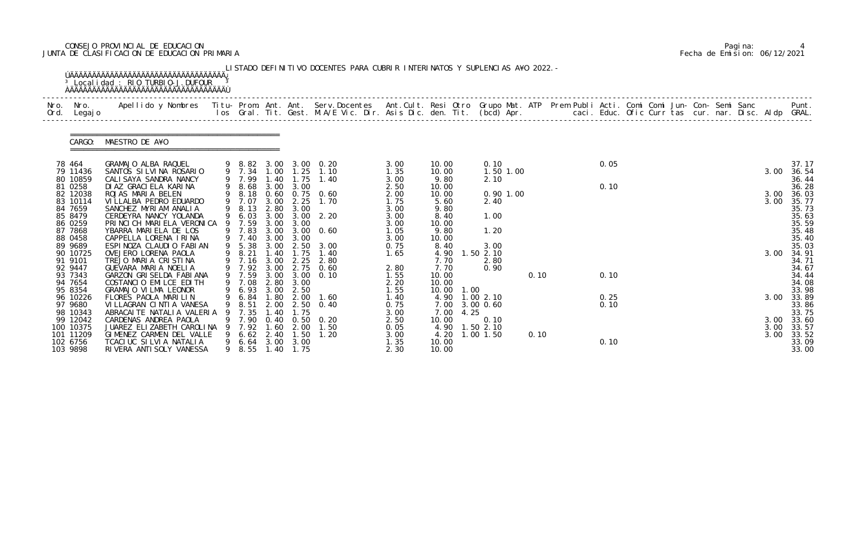# CONSEJO PROVINCIAL DE EDUCACION Pagina: 4 JUNTA DE CLASIFICACION DE EDUCACION PRIMARIA Fecha de Emision: 06/12/2021

| Nro. Nro.<br>Ord. Legajo | Apellido y Nombres - Titu- Prom. Ant. Ant. Serv.Docentes - Ant.Cult. Resi Otro Grupo Mat. ATP Prem Publi Acti. Comi Comi Jun- Con- Semi Sanc - - - Punt.<br>Ios Gral. Tit. Gest. M.A/E Vic. Dir. Asis Dic. den. Tit. (bcd) Apr. - |   |                                      |              |              |                                                |              |                |      |                |      |  |      |  |  |  |      |                |
|--------------------------|-----------------------------------------------------------------------------------------------------------------------------------------------------------------------------------------------------------------------------------|---|--------------------------------------|--------------|--------------|------------------------------------------------|--------------|----------------|------|----------------|------|--|------|--|--|--|------|----------------|
|                          | CARGO: MAESTRO DE A¥O                                                                                                                                                                                                             |   |                                      |              |              |                                                |              |                |      |                |      |  |      |  |  |  |      |                |
| 78 464                   | GRAMAJO ALBA RAQUEL                                                                                                                                                                                                               |   |                                      |              |              | 9 8.82 3.00 3.00 0.20<br>9 7.34 1.00 1.25 1.10 | 3.00         | 10.00          |      | 0.10           |      |  | 0.05 |  |  |  |      | 37.17          |
| 79 11436                 | SANTOS SILVINA ROSARIO                                                                                                                                                                                                            |   |                                      |              |              |                                                | 1.35         | 10.00          |      | 1.50 1.00      |      |  |      |  |  |  | 3.00 | 36.54          |
| 80 10859<br>81 0258      | CALI SAYA SANDRA NANCY<br>DI AZ GRACI ELA KARI NA                                                                                                                                                                                 |   | 9 7.99<br>9 8.68 3.00 3.00           | 1.40         |              | $1.75$ $1.40$                                  | 3.00<br>2.50 | 9.80<br>10.00  |      | 2.10           |      |  | 0.10 |  |  |  |      | 36.44<br>36.28 |
| 82 12038                 | ROJAS MARIA BELEN                                                                                                                                                                                                                 |   | 9 8.18                               |              |              | 0.60 0.75 0.60                                 | 2.00         | 10.00          |      | $0.90$ 1.00    |      |  |      |  |  |  | 3.00 | 36.03          |
| 83 10114                 | VI LLALBA PEDRO EDUARDO                                                                                                                                                                                                           |   | 9 7.07                               | 3.00         | 2.25         | 1.70                                           | 1.75         | 5.60           |      | 2.40           |      |  |      |  |  |  | 3.00 | 35.77          |
| 84 7659                  | SANCHEZ MYRIAM ANALIA                                                                                                                                                                                                             |   | 9 8.13                               | 2.80         | 3.00         |                                                | 3.00         | 9.80           |      |                |      |  |      |  |  |  |      | 35.73          |
| 85 8479                  | CERDEYRA NANCY YOLANDA                                                                                                                                                                                                            |   | 9 6.03                               |              |              | 3.00 3.00 2.20                                 | 3.00         | 8.40           |      | 1.00           |      |  |      |  |  |  |      | 35.63          |
| 86 0259<br>87 7868       | PRINCICH MARIELA VERONICA<br>YBARRA MARIELA DE LOS                                                                                                                                                                                | 9 | 7.59<br>9 7.83                       | 3.00         | 3.00         | 3.00 3.00 0.60                                 | 3.00<br>1.05 | 10.00<br>9.80  |      | 1.20           |      |  |      |  |  |  |      | 35.59<br>35.48 |
| 88 0458                  | CAPPELLA LORENA IRINA                                                                                                                                                                                                             |   | 9 7.40                               |              | 3.00 3.00    |                                                | 3.00         | 10.00          |      |                |      |  |      |  |  |  |      | 35.40          |
| 89 9689                  | ESPINOZA CLAUDIO FABIAN                                                                                                                                                                                                           |   | 9 5.38                               | 3.00         | 2.50         | 3.00                                           | 0.75         | 8.40           |      | 3.00           |      |  |      |  |  |  |      | 35.03          |
| 90 10725                 | OVEJERO LORENA PAOLA                                                                                                                                                                                                              |   | 9 8.21                               | 1.40         | 1.75         | 1.40                                           | 1.65         | 4.90           |      | $1.50$ $2.10$  |      |  |      |  |  |  | 3.00 | 34.91          |
| 91 9101                  | TREJO MARIA CRISTINA                                                                                                                                                                                                              |   |                                      |              |              | 9 7.16 3.00 2.25 2.80                          |              | 7.70           |      | 2.80           |      |  |      |  |  |  |      | 34.71          |
| 92 9447                  | GUEVARA MARIA NOELIA                                                                                                                                                                                                              |   | 9 7.92 3.00                          |              |              | 2.75 0.60                                      | 2.80         | 7.70           |      | 0.90           |      |  |      |  |  |  |      | 34.67          |
| 93 7343<br>94 7654       | GARZON GRISELDA FABIANA<br>COSTANCIO EMILCE EDITH                                                                                                                                                                                 |   | 9 7.59                               |              |              | 3.00 3.00 0.10                                 | 1.55<br>2.20 | 10.00<br>10.00 |      |                | 0.10 |  | 0.10 |  |  |  |      | 34.44<br>34.08 |
| 95 8354                  | GRAMAJO VILMA LEONOR                                                                                                                                                                                                              |   | 9 7.08 2.80 3.00<br>9 6.93 3.00 2.50 |              |              |                                                | 1.55         | 10.00 1.00     |      |                |      |  |      |  |  |  |      | 33.98          |
| 96 10226                 | FLORES PAOLA MARILIN                                                                                                                                                                                                              |   |                                      |              |              | 9 6.84 1.80 2.00 1.60                          | 1.40         |                |      | 4.90 1.00 2.10 |      |  | 0.25 |  |  |  |      | 3.00 33.89     |
| 97 9680                  | VI LLAGRAN CINTI A VANESA                                                                                                                                                                                                         | 9 | 8.51                                 | 2.00         | 2.50         | 0.40                                           | 0.75         |                |      | 7.00 3.00 0.60 |      |  | 0.10 |  |  |  |      | 33.86          |
| 98 10343                 | ABRACAI TE NATALI A VALERIA                                                                                                                                                                                                       |   | 7.35                                 | 40           | l. 75        |                                                | 3.00         | 7.00           | 4.25 |                |      |  |      |  |  |  |      | 33.75          |
| 99 12042                 | CARDENAS ANDREA PAOLA                                                                                                                                                                                                             |   | 7.90                                 | 0.40         | 0. 50        | 0. 20                                          | 2.50         | 10.00          |      | 0.10           |      |  |      |  |  |  |      | 3.00 33.60     |
| 100 10375                | JUAREZ ELIZABETH CAROLINA                                                                                                                                                                                                         |   | 7.92                                 | 1.60         | 2.00         | 1.50                                           | 0.05         | 4.90           |      | $1.50$ $2.10$  |      |  |      |  |  |  | 3.00 | 33.57          |
| 101 11209<br>102 6756    | GIMENEZ CARMEN DEL VALLE<br>TCACIUC SILVIA NATALIA                                                                                                                                                                                |   | 6.62<br>6.64                         | 2.40<br>3.00 | 1.50<br>3.00 | 1.20                                           | 3.00<br>1.35 | 4.20<br>10.00  |      | 1.00 1.50      | 0.10 |  | 0.10 |  |  |  | 3.00 | 33.52<br>33.09 |
| 103 9898                 | RIVERA ANTI SOLY VANESSA                                                                                                                                                                                                          |   | 9 8.55                               | 1.40         | 1.75         |                                                | 2.30         | 10.00          |      |                |      |  |      |  |  |  |      | 33.00          |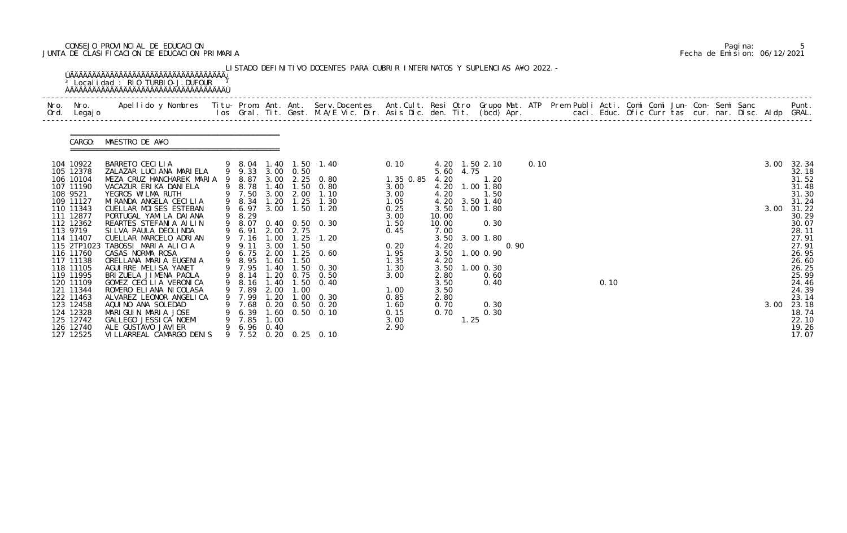# CONSEJO PROVINCIAL DE EDUCACION Pagina: 5 JUNTA DE CLASIFICACION DE EDUCACION PRIMARIA Fecha de Emision: 06/12/2021

| Nro. Nro.<br>Ord. Legajo                                                                                                        | Apellido y Nombres  Titu- Prom. Ant. Ant.  Serv.Docentes  Ant.Cult. Resi Otro  Grupo Mat. ATP  Prem Publi Acti. Comi Comi Jun- Con- Semi Sanc              Punt.<br>Ios Gral. Tit. Gest. M.A/E Vic. Dir. Asis Dic. den. Tit. (bcd                       |   |                                                                                                |                                              |                                                                            |                                                                                |                                                                      |                                                        |           |                                                                                 |      |      |  |      |  |  |  |      |                                                                                             |
|---------------------------------------------------------------------------------------------------------------------------------|---------------------------------------------------------------------------------------------------------------------------------------------------------------------------------------------------------------------------------------------------------|---|------------------------------------------------------------------------------------------------|----------------------------------------------|----------------------------------------------------------------------------|--------------------------------------------------------------------------------|----------------------------------------------------------------------|--------------------------------------------------------|-----------|---------------------------------------------------------------------------------|------|------|--|------|--|--|--|------|---------------------------------------------------------------------------------------------|
| CARGO:                                                                                                                          | MAESTRO DE A¥O                                                                                                                                                                                                                                          |   |                                                                                                |                                              |                                                                            |                                                                                |                                                                      |                                                        |           |                                                                                 |      |      |  |      |  |  |  |      |                                                                                             |
| 104 10922<br>105 12378<br>106 10104<br>107 11190<br>108 9521<br>109 11127                                                       | BARRETO CECILIA<br>ZALAZAR LUCIANA MARIELA<br>MEZA CRUZ HANCHAREK MARIA 9<br>VACAZUR ERIKA DANIELA<br>YEGROS WILMA RUTH<br>MI RANDA ANGELA CECILIA                                                                                                      |   | 9 9.33<br>8.87<br>9 8.78<br>9 7.50<br>9 8.34                                                   | 3.00<br>1.40<br>3.00<br>1.20                 | 3.00 0.50<br>1.50<br>2.00<br>1.25                                          | 9 8.04 1.40 1.50 1.40<br>2.25 0.80<br>0.80<br>1.10<br>1.30                     | 0.10<br>1.35 0.85<br>3.00<br>3.00<br>1.05                            | 4.20<br>4.20<br>4.20<br>4.20                           | 5.60 4.75 | 4.20 1.50 2.10<br>1. 20<br>1.00 1.80<br>1.50<br>3.50 1.40                       |      | 0.10 |  |      |  |  |  | 3.00 | 32.34<br>$\frac{32}{31}$ . 52<br>31. 52<br>31. 48<br>31.30<br>31.24                         |
| 110 11343<br>111 12877<br>112 12362<br>113 9719<br>114 11407<br>115 2TP1023<br>116 11760<br>117 11138<br>118 11105<br>119 11995 | CUELLAR MOISES ESTEBAN<br>PORTUGAL YAMI LA DAI ANA<br>REARTES STEFANIA AILIN<br>SILVA PAULA DEOLINDA<br>CUELLAR MARCELO ADRIAN<br>TABOSSI MARIA ALICIA<br>CASAS NORMA ROSA<br>ORELLANA MARIA EUGENIA<br>AGUI RRE MELI SA YANET<br>BRIZUELA JIMENA PAOLA | 9 | 9 6.97<br>9 8.29<br>9 8.07<br>9 6.91<br>9 7.16<br>9 9.11<br>9 6.75<br>9 8.95<br>9 7.95<br>8.14 | 1.00<br>3.00<br>2.00<br>1.60<br>1.40<br>1.20 | 3.00 1.50<br>2.00 2.75<br>1.25<br>1.50<br>1.50<br>$\overline{.50}$<br>0.75 | 1.20<br>$0.40 \quad 0.50 \quad 0.30$<br>1.20<br>$1.25 \t 0.60$<br>0.30<br>0.50 | 0.25<br>3.00<br>1.50<br>0.45<br>0.20<br>1.95<br>1.35<br>1.30<br>3.00 | 10.00<br>10.00<br>7.00<br>4.20<br>4.20<br>3.50<br>2.80 |           | 3.50 1.00 1.80<br>0.30<br>3.50 3.00 1.80<br>3.50 1.00 0.90<br>1.00 0.30<br>0.60 | 0.90 |      |  |      |  |  |  |      | 3.00 31.22<br>30.29<br>30.07<br>28.11<br>27.91<br>27.91<br>26.95<br>26.60<br>26.25<br>25.99 |
| 120 11109<br>121 11344<br>122 11463<br>123 12458<br>124 12328<br>125 12742<br>126 12740<br>127 12525                            | GOMEZ CECILIA VERONICA<br>ROMERO ELIANA NI COLASA<br>ALVAREZ LEONOR ANGELICA<br>AQUINO ANA SOLEDAD<br>MARIGUIN MARIA JOSE<br>GALLEGO JESSI CA NOEMI<br>ALE GUSTAVO JAVI ER<br>VI LLARREAL CAMARGO DENIS                                                 | 9 | 8.16<br>9 7.89<br>9 7.99<br>$9$ 7.68<br>$9$ 6.39<br>9 7.85<br>9 6.96 0.40<br>9 7.52            | 1.40<br>2.00<br>1.20<br>1.00                 | 1.50<br>1.00<br>1.00                                                       | 0.40<br>0.30<br>0.20 0.50 0.20<br>1.60 0.50 0.10<br>$0.20$ $0.25$ $0.10$       | 1.00<br>0.85<br>1.60<br>0.15<br>3.00<br>2.90                         | 3.50<br>3.50<br>2.80<br>0.70<br>0.70                   | 1.25      | 0.40<br>0.30<br>0.30                                                            |      |      |  | 0.10 |  |  |  | 3.00 | 24.46<br>23.14<br>23.18<br>18.74<br>22.10<br>19.26<br>17.07                                 |

|  | Pagi na: |                              |
|--|----------|------------------------------|
|  |          | Fecha de Emision: 06/12/2021 |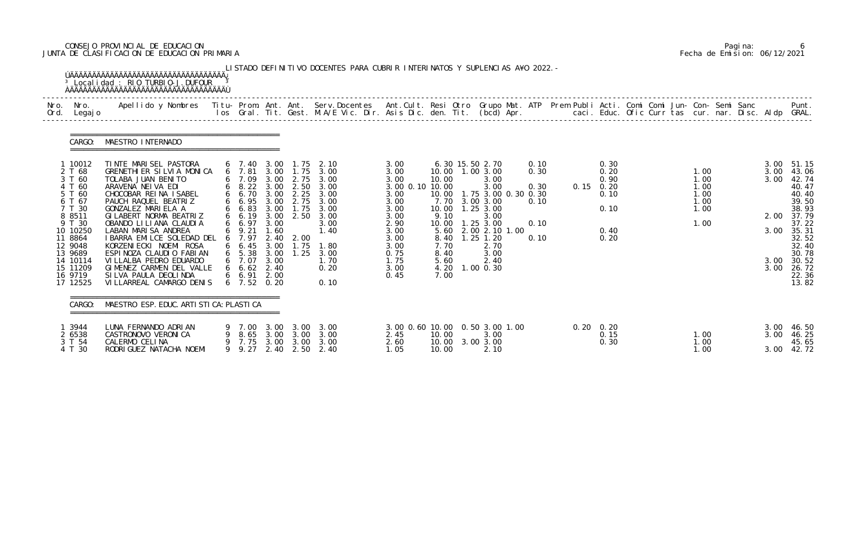# CONSEJO PROVINCIAL DE EDUCACION Pagina: 6 JUNTA DE CLASIFICACION DE EDUCACION PRIMARIA Fecha de Emision: 06/12/2021

| Nro.<br>Ord. | Nro.<br>Legaj o                                                                                                                                                                        | Apellido y Nombres  Titu- Prom. Ant. Ant. Serv.Docentes  Ant.Cult. Resi Otro Grupo Mat. ATP Prem Publi Acti. Comi Comi Jun- Con- Semi Sanc           Punt.<br>Ios Gral. Tit. Gest. M.A/E Vic. Dir. Asis Dic. den. Tit. (bcd) Apr.                                                                                                                                                                                                                 |                                                                                                                                                                                                    |                                                                                                      |                                                                                                                      |                                                                                                                      |                                                                                                                                         |                                                                                                 |                                                                                                                                                                                                              |                                              |                   |                                                              |  |                                                      |                                                      |                                                                                                                                                       |
|--------------|----------------------------------------------------------------------------------------------------------------------------------------------------------------------------------------|---------------------------------------------------------------------------------------------------------------------------------------------------------------------------------------------------------------------------------------------------------------------------------------------------------------------------------------------------------------------------------------------------------------------------------------------------|----------------------------------------------------------------------------------------------------------------------------------------------------------------------------------------------------|------------------------------------------------------------------------------------------------------|----------------------------------------------------------------------------------------------------------------------|----------------------------------------------------------------------------------------------------------------------|-----------------------------------------------------------------------------------------------------------------------------------------|-------------------------------------------------------------------------------------------------|--------------------------------------------------------------------------------------------------------------------------------------------------------------------------------------------------------------|----------------------------------------------|-------------------|--------------------------------------------------------------|--|------------------------------------------------------|------------------------------------------------------|-------------------------------------------------------------------------------------------------------------------------------------------------------|
|              | CARGO:                                                                                                                                                                                 | MAESTRO INTERNADO                                                                                                                                                                                                                                                                                                                                                                                                                                 |                                                                                                                                                                                                    |                                                                                                      |                                                                                                                      |                                                                                                                      |                                                                                                                                         |                                                                                                 |                                                                                                                                                                                                              |                                              |                   |                                                              |  |                                                      |                                                      |                                                                                                                                                       |
|              | 1 10012<br>2 T 68<br>3 T 60<br>4 T 60<br>5 T 60<br>6 T 67<br>7 T 30<br>8 8 5 1 1<br>9 T 30<br>10 10250<br>11 8864<br>12 9048<br>13 9689<br>14 10114<br>15 11209<br>16 9719<br>17 12525 | TINTE MARISEL PASTORA<br>GRENETHIER SILVIA MONICA<br>TOLABA JUAN BENITO<br>ARAVENA NEIVA EDI<br>CHOCOBAR REINA ISABEL<br>PAUCH RAQUEL BEATRIZ<br>GONZALEZ MARIELA A<br>GI LABERT NORMA BEATRIZ<br>OBANDO LI LI ANA CLAUDI A<br>LABAN MARISA ANDREA<br>I BARRA EMILCE SOLEDAD DEL<br>KORZENI ECKI NOEMI ROSA<br>ESPINOZA CLAUDIO FABIAN<br>VI LLALBA PEDRO EDUARDO<br>GIMENEZ CARMEN DEL VALLE<br>SILVA PAULA DEOLINDA<br>VILLARREAL CAMARGO DENIS | 6 7.40<br>$6$ 7.81<br>6 7.09<br>$6\quad 8.22$<br>6 6.70<br>6 6.95<br>66.83<br>6 6.19<br>6 6.97<br>6 9.21<br>6 7.97<br>$6\quad 6.45$<br>$6\quad 5.38$<br>6 7.07<br>66.62<br>6 6.91<br>$6$ 7.52 0.20 | 3.00<br>3.00<br>3.00<br>3.00<br>3.00<br>3.00<br>1.60<br>2.40<br>3.00<br>3.00<br>3.00<br>2.40<br>2.00 | 1. 75<br>3.00 1.75<br>2.75<br>2.50<br>$3.00 \quad 2.25$<br>2.75<br>1.75<br>$3.00 \quad 2.50$<br>2.00<br>1.75<br>1.25 | 2.10<br>3.00<br>3.00<br>3.00<br>3.00<br>3.00<br>3.00<br>3.00<br>3.00<br>1.40<br>1.80<br>3.00<br>1.70<br>0.20<br>0.10 | 3.00<br>3.00<br>3.00<br>3.00 0.10 10.00<br>3.00<br>3.00<br>3.00<br>3.00<br>2.90<br>3.00<br>3.00<br>3.00<br>0.75<br>1.75<br>3.00<br>0.45 | 10.00<br>10.00<br>7.70<br>9.10<br>10.00<br>5.60<br>8.40<br>7.70<br>8.40<br>5.60<br>4.20<br>7.00 | 6.30 15.50 2.70<br>10.00  1.00  3.00<br>3.00<br>3.00<br>1.75 3.00 0.30 0.30<br>3.00 3.00<br>10.00  1.25  3.00<br>3.00<br>1.25 3.00<br>2.00 2.10 1.00<br>$1.25$ $1.20$<br>2.70<br>3.00<br>2.40<br>$1.00$ 0.30 | 0.10<br>0.30<br>0.30<br>0.10<br>0.10<br>0.10 | 0.15              | 0.30<br>0.20<br>0.90<br>0.20<br>0.10<br>0.10<br>0.40<br>0.20 |  | 1.00<br>1.00<br>1.00<br>1.00<br>1.00<br>1.00<br>1.00 | 3.00<br>3.00<br>3.00<br>2.00<br>3.00<br>3.00<br>3.00 | 51.15<br>43.06<br>42.74<br>40.47<br>40.40<br>39.50<br>38.93<br>37.79<br>37.22<br>35.31<br>32.52<br>32.40<br>30.78<br>30.52<br>26.72<br>22.36<br>13.82 |
|              | CARGO:                                                                                                                                                                                 | MAESTRO ESP. EDUC. ARTI STI CA: PLASTI CA                                                                                                                                                                                                                                                                                                                                                                                                         |                                                                                                                                                                                                    |                                                                                                      |                                                                                                                      |                                                                                                                      |                                                                                                                                         |                                                                                                 |                                                                                                                                                                                                              |                                              |                   |                                                              |  |                                                      |                                                      |                                                                                                                                                       |
|              | 1 3944<br>2 6538<br>3 T 54<br>4 T 30                                                                                                                                                   | LUNA FERNANDO ADRIAN<br>CASTRONOVO VERONICA<br>CALERMO CELINA<br>RODRI GUEZ NATACHA NOEMI                                                                                                                                                                                                                                                                                                                                                         | 9 9.27                                                                                                                                                                                             |                                                                                                      |                                                                                                                      | 9 7.00 3.00 3.00 3.00<br>9 8.65 3.00 3.00 3.00<br>9 7.75 3.00 3.00 3.00<br>2.40 2.50 2.40                            | 3.00 0.60 10.00 0.50 3.00 1.00<br>2.45<br>2.60<br>1.05                                                                                  | 10.00<br>10.00                                                                                  | 3.00<br>10.00 3.00 3.00<br>2.10                                                                                                                                                                              |                                              | $0.20 \quad 0.20$ | 0.15<br>0.30                                                 |  | 1.00<br>1.00<br>1.00                                 | 3.00<br>3.00                                         | 3.00 46.50<br>46.25<br>45.65<br>42.72                                                                                                                 |

|  | Pagi na: |                              |
|--|----------|------------------------------|
|  |          | Fecha de Emision: 06/12/2021 |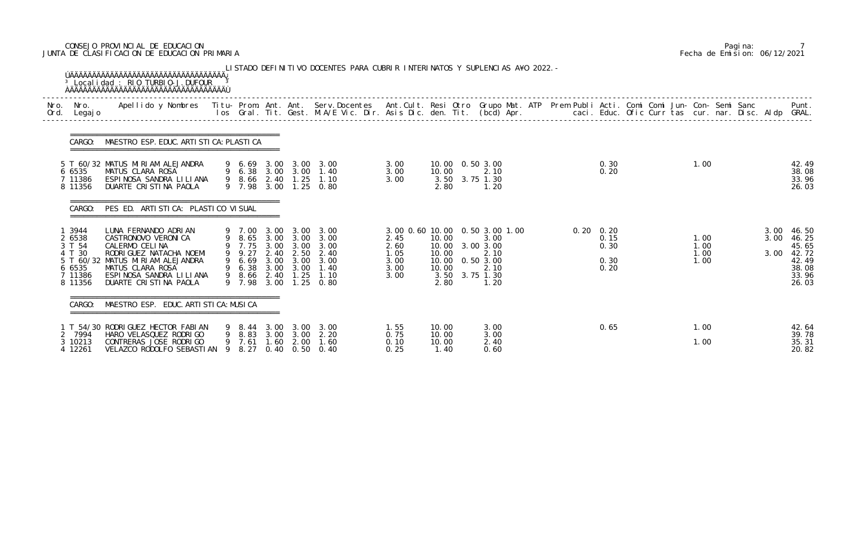# CONSEJO PROVINCIAL DE EDUCACION Pagina: 7 JUNTA DE CLASIFICACION DE EDUCACION PRIMARIA Fecha de Emision: 06/12/2021

| Nro.<br>Ord. | Nro.<br>Legaj o                                                    | Apellido y Nombres - Titu- Prom. Ant. Ant. Serv.Docentes - Ant.Cult. Resi Otro Grupo Mat. ATP Prem Publi Acti. Comi Comi Jun- Con- Semi Sanc - - - Punt.<br>Ios Gral. Tit. Gest. M.A/E Vic. Dir. Asis Dic. den. Tit. (bcd) Apr. - |                                                                                 |              |                                                |                                                                                         |                                              |                                                   |                                                                                                            |  |                                                   |      |                              |                      |                                                                      |
|--------------|--------------------------------------------------------------------|-----------------------------------------------------------------------------------------------------------------------------------------------------------------------------------------------------------------------------------|---------------------------------------------------------------------------------|--------------|------------------------------------------------|-----------------------------------------------------------------------------------------|----------------------------------------------|---------------------------------------------------|------------------------------------------------------------------------------------------------------------|--|---------------------------------------------------|------|------------------------------|----------------------|----------------------------------------------------------------------|
|              | CARGO:                                                             | MAESTRO ESP. EDUC. ARTI STI CA: PLASTI CA                                                                                                                                                                                         |                                                                                 |              |                                                |                                                                                         |                                              |                                                   |                                                                                                            |  |                                                   |      |                              |                      |                                                                      |
|              | 6 6535<br>7 11386<br>8 11356                                       | 5 T 60/32 MATUS MIRIAM ALEJANDRA<br>MATUS CLARA ROSA<br>ESPINOSA SANDRA LILIANA<br>DUARTE CRISTINA PAOLA                                                                                                                          | 9 6.38 3.00 3.00<br>9 7.98                                                      |              |                                                | 9 6.69 3.00 3.00 3.00<br>1.40<br>9 8.66 2.40 1.25 1.10<br>3.00 1.25 0.80                | 3.00<br>3.00<br>3.00                         | 10.00<br>2.80                                     | 10.00  0.50  3.00<br>2.10<br>3.50 3.75 1.30<br>1.20                                                        |  | 0.30<br>0.20                                      | 1.00 |                              |                      | 42.49<br>38.08<br>33.96<br>26.03                                     |
|              | CARGO:                                                             | PES ED. ARTI STI CA: PLASTI CO VI SUAL                                                                                                                                                                                            |                                                                                 |              |                                                |                                                                                         |                                              |                                                   |                                                                                                            |  |                                                   |      |                              |                      |                                                                      |
|              | 3944<br>2 6538<br>3 T 54<br>4 T 30<br>6 6535<br>7 11386<br>8 11356 | LUNA FERNANDO ADRIAN<br>CASTRONOVO VERONI CA<br>CALERMO CELINA<br>RODRI GUEZ NATACHA NOEMI<br>5 T 60/32 MATUS MIRIAM ALEJANDRA<br>MATUS CLARA ROSA<br>ESPINOSA SANDRA LILIANA<br>DUARTE CRISTINA PAOLA                            | 9 7.00<br>9 7.75<br>9 9.27<br>9 6.69<br>6.38 3.00<br>9 8.66 2.40 1.25<br>9 7.98 | 3.00<br>3.00 | 3.00<br>3.00<br>2.40 2.50<br>3.00 3.00<br>3.00 | 3.00<br>9 8.65 3.00 3.00 3.00<br>3.00<br>2.40<br>3.00<br>1.40<br>1.10<br>3.00 1.25 0.80 | 2.45<br>2.60<br>1.05<br>3.00<br>3.00<br>3.00 | 10.00<br>10.00<br>10.00<br>10.00<br>10.00<br>2.80 | 3.00 0.60 10.00 0.50 3.00 1.00<br>3.00<br>3.00 3.00<br>2.10<br>0.50 3.00<br>2.10<br>3.50 3.75 1.30<br>1.20 |  | $0.20 \quad 0.20$<br>0.15<br>0.30<br>0.30<br>0.20 |      | 1.00<br>1.00<br>1.00<br>1.00 | 3.00<br>3.00<br>3.00 | 46.50<br>46.25<br>45.65<br>42.72<br>42.49<br>38.08<br>33.96<br>26.03 |
|              | CARGO:                                                             | MAESTRO ESP. EDUC. ARTI STI CA: MUSI CA                                                                                                                                                                                           |                                                                                 |              |                                                |                                                                                         |                                              |                                                   |                                                                                                            |  |                                                   |      |                              |                      |                                                                      |
|              | 7994<br>3 10213<br>4 12261                                         | 1 T 54/30 RODRIGUEZ HECTOR FABIAN<br>HARO VELASQUEZ RODRIGO<br>CONTRERAS JOSE RODRIGO<br>VELAZCO RODOLFO SEBASTIAN 9                                                                                                              | 9 8.83<br>9 7.61<br>8.27                                                        | 1.60         | $3.00 \quad 3.00$<br>2.00                      | 9 8.44 3.00 3.00 3.00<br>2.20<br>1.60<br>0.40 0.50 0.40                                 | 1.55<br>0.75<br>0.10<br>0.25                 | 10.00<br>10.00<br>10.00<br>1.40                   | 3.00<br>3.00<br>2.40<br>0.60                                                                               |  | 0.65                                              |      | 1.00<br>1.00                 |                      | 42.64<br>39.78<br>35.31<br>20.82                                     |

|  | Pagi na: |                              |
|--|----------|------------------------------|
|  |          | Fecha de Emision: 06/12/2021 |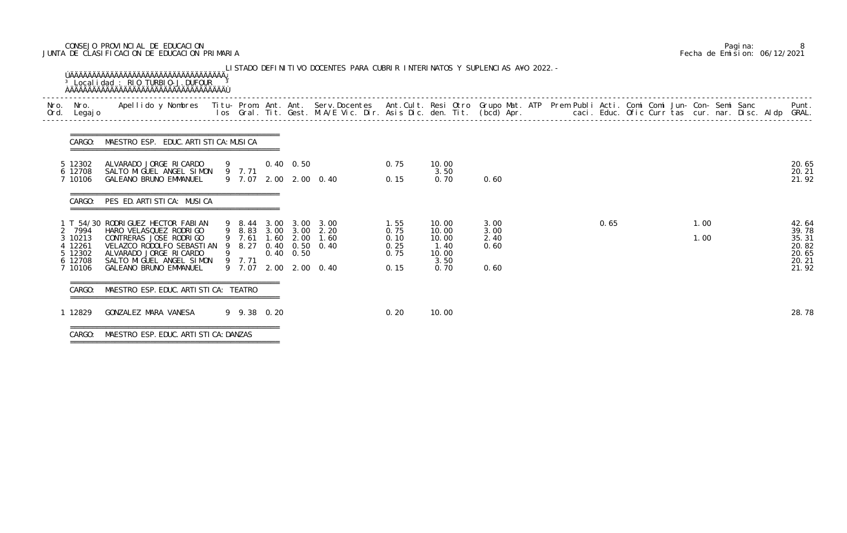# CONSEJO PROVINCIAL DE EDUCACION Pagina: 8 JUNTA DE CLASIFICACION DE EDUCACION PRIMARIA Fecha de Emision: 06/12/2021

| Nro.<br>Ord. | Nro.<br>Legaj o    | Apellido y Nombres  Titu- Prom. Ant. Ant.  Serv.Docentes  Ant.Cult. Resi Otro  Grupo Mat. ATP  Prem Publi Acti. Comi Comi Jun- Con- Semi Sanc              Punt.<br>Ios Gral. Tit. Gest. M.A/E Vic. Dir. Asis Dic. den. Tit. (bcd |             |                   |                                         |              |                |              |      |  |      | Punt.          |
|--------------|--------------------|-----------------------------------------------------------------------------------------------------------------------------------------------------------------------------------------------------------------------------------|-------------|-------------------|-----------------------------------------|--------------|----------------|--------------|------|--|------|----------------|
|              | CARGO:             | MAESTRO ESP. EDUC. ARTI STI CA: MUSI CA                                                                                                                                                                                           |             |                   |                                         |              |                |              |      |  |      |                |
|              | 5 12302            | ALVARADO JORGE RICARDO                                                                                                                                                                                                            | 9           | $0.40\quad 0.50$  |                                         | 0.75         | 10.00          |              |      |  |      | 20.65          |
|              | 6 12708<br>7 10106 | SALTO MIGUEL ANGEL SIMON<br>GALEANO BRUNO EMMANUEL                                                                                                                                                                                | 9 7.71      |                   | 9 7.07 2.00 2.00 0.40                   | 0.15         | 3.50<br>0.70   | 0.60         |      |  |      | 20.21<br>21.92 |
|              | CARGO:             | PES ED. ARTISTICA: MUSICA                                                                                                                                                                                                         |             |                   |                                         |              |                |              |      |  |      |                |
|              |                    | T 54/30 RODRIGUEZ HECTOR FABIAN                                                                                                                                                                                                   |             |                   | 9 8.44 3.00 3.00 3.00                   | 1.55         | 10.00          | 3.00         | 0.65 |  | 1.00 | 42.64          |
|              | 7994<br>3 10213    | HARO VELASQUEZ RODRI GO<br>CONTRERAS JOSE RODRIGO                                                                                                                                                                                 | 9 7.61      |                   | 9 8.83 3.00 3.00 2.20<br>1.60 2.00 1.60 | 0.75<br>0.10 | 10.00<br>10.00 | 3.00<br>2.40 |      |  | 1.00 | 39.78<br>35.31 |
|              | 12261<br>5 12302   | VELAZCO RODOLFO SEBASTIAN 9 8.27<br>ALVARADO JORGE RI CARDO                                                                                                                                                                       |             | $0.40 \quad 0.50$ | 0.40 0.50 0.40                          | 0.25<br>0.75 | 1.40<br>10.00  | 0.60         |      |  |      | 20.82<br>20.65 |
|              | 6 12708<br>7 10106 | SALTO MIGUEL ANGEL SIMON<br>GALEANO BRUNO EMMANUEL                                                                                                                                                                                | 9 7.71      |                   | 9 7.07 2.00 2.00 0.40                   | 0.15         | 3.50<br>0.70   | 0.60         |      |  |      | 20.21<br>21.92 |
|              | CARGO:             | MAESTRO ESP. EDUC. ARTI STI CA: TEATRO                                                                                                                                                                                            |             |                   |                                         |              |                |              |      |  |      |                |
|              | 12829              | GONZALEZ MARA VANESA                                                                                                                                                                                                              | 9 9.38 0.20 |                   |                                         | 0.20         | 10.00          |              |      |  |      | 28.78          |

|  | Pagi na: |                              |
|--|----------|------------------------------|
|  |          | Fecha de Emision: 06/12/2021 |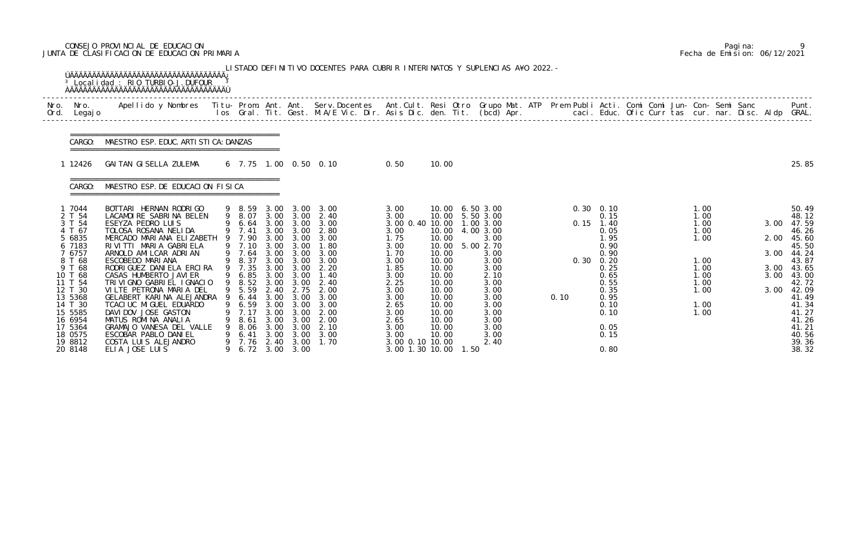# CONSEJO PROVINCIAL DE EDUCACION Pagina: 9 JUNTA DE CLASIFICACION DE EDUCACION PRIMARIA Fecha de Emision: 06/12/2021

|              |                                                                                                                                                                                                                 | <sup>3</sup> Local i dad: RIO TURBIO-J. DUFOUR                                                                                                                                                                                                                                                                                                                                                                                                                                                                          |          |                                                                                                                                                                           |                                                                                                                                              |                                                                                                                                                                             | LISTADO DEFINITIVO DOCENTES PARA CUBRIR INTERINATOS Y SUPLENCIAS A¥O 2022. -                                                                         |                                                                                                                                                                                               |                                                                                                                                                       |      |                                                                                                                                                                               |      |                                                                                                                                                                               |  |                                                                                              |  |                                              |                                                                                                                                                                                  |
|--------------|-----------------------------------------------------------------------------------------------------------------------------------------------------------------------------------------------------------------|-------------------------------------------------------------------------------------------------------------------------------------------------------------------------------------------------------------------------------------------------------------------------------------------------------------------------------------------------------------------------------------------------------------------------------------------------------------------------------------------------------------------------|----------|---------------------------------------------------------------------------------------------------------------------------------------------------------------------------|----------------------------------------------------------------------------------------------------------------------------------------------|-----------------------------------------------------------------------------------------------------------------------------------------------------------------------------|------------------------------------------------------------------------------------------------------------------------------------------------------|-----------------------------------------------------------------------------------------------------------------------------------------------------------------------------------------------|-------------------------------------------------------------------------------------------------------------------------------------------------------|------|-------------------------------------------------------------------------------------------------------------------------------------------------------------------------------|------|-------------------------------------------------------------------------------------------------------------------------------------------------------------------------------|--|----------------------------------------------------------------------------------------------|--|----------------------------------------------|----------------------------------------------------------------------------------------------------------------------------------------------------------------------------------|
| Nro.<br>Ord. | Nro.<br>Legaj o                                                                                                                                                                                                 | Apellido y Nombres  Titu- Prom. Ant. Ant. Serv.Docentes  Ant.Cult. Resi Otro Grupo Mat. ATP Prem Publi Acti. Comi Comi Jun- Con- Semi Sanc         Punt.<br>Ios Gral. Tit. Gest. M.A/E Vic. Dir. Asis Dic. den. Tit. (bcd) Apr.                                                                                                                                                                                                                                                                                         |          |                                                                                                                                                                           |                                                                                                                                              |                                                                                                                                                                             |                                                                                                                                                      |                                                                                                                                                                                               |                                                                                                                                                       |      |                                                                                                                                                                               |      |                                                                                                                                                                               |  |                                                                                              |  |                                              |                                                                                                                                                                                  |
|              | CARGO:                                                                                                                                                                                                          | MAESTRO ESP. EDUC. ARTI STI CA: DANZAS                                                                                                                                                                                                                                                                                                                                                                                                                                                                                  |          |                                                                                                                                                                           |                                                                                                                                              |                                                                                                                                                                             |                                                                                                                                                      |                                                                                                                                                                                               |                                                                                                                                                       |      |                                                                                                                                                                               |      |                                                                                                                                                                               |  |                                                                                              |  |                                              |                                                                                                                                                                                  |
|              | 12426                                                                                                                                                                                                           | GAITAN GISELLA ZULEMA                                                                                                                                                                                                                                                                                                                                                                                                                                                                                                   |          |                                                                                                                                                                           |                                                                                                                                              |                                                                                                                                                                             | 6 7.75 1.00 0.50 0.10                                                                                                                                | 0.50                                                                                                                                                                                          | 10.00                                                                                                                                                 |      |                                                                                                                                                                               |      |                                                                                                                                                                               |  |                                                                                              |  |                                              | 25.85                                                                                                                                                                            |
|              | CARGO:                                                                                                                                                                                                          | MAESTRO ESP. DE EDUCACION FISICA                                                                                                                                                                                                                                                                                                                                                                                                                                                                                        |          |                                                                                                                                                                           |                                                                                                                                              |                                                                                                                                                                             |                                                                                                                                                      |                                                                                                                                                                                               |                                                                                                                                                       |      |                                                                                                                                                                               |      |                                                                                                                                                                               |  |                                                                                              |  |                                              |                                                                                                                                                                                  |
|              | 1 7044<br>2 T 54<br>3 T 54<br>4 T 67<br>5 6835<br>6 7183<br>7 6757<br>8 T 68<br>9 T 68<br>10 T 68<br>11 T 54<br>12 T 30<br>13 5368<br>14 T 30<br>15 5585<br>16 6954<br>17 5364<br>18 0575<br>19 8812<br>20 8148 | BOTTARI HERNAN RODRIGO<br>LACAMOIRE SABRINA BELEN<br>ESEYZA PEDRO LUIS<br>TOLOSA ROSANA NELIDA<br>MERCADO MARIANA ELIZABETH<br>RIVITTI MARIA GABRIELA<br>ARNOLD AMILCAR ADRIAN<br>ESCOBEDO MARIANA<br>RODRI GUEZ DANI ELA ERCI RA<br>CASAS HUMBERTO JAVI ER<br>TRIVIGNO GABRIEL IGNACIO<br>VILTE PETRONA MARIA DEL<br>GELABERT KARINA ALEJANDRA<br>TCACI UC MI GUEL EDUARDO<br>DAVIDOV JOSE GASTON<br>MATUS ROMINA ANALIA<br>GRAMAJO VANESA DEL VALLE<br>ESCOBAR PABLO DANIEL<br>COSTA LUIS ALEJANDRO<br>ELIA JOSE LUIS | - 9<br>9 | 9 8.59<br>9 8.07<br>6.64<br>9 7.41<br>9 7.90<br>9 7.10<br>9 7.64<br>9 8.37<br>9 7.35<br>6.85<br>9 8.52<br>9 5.59<br>6.44<br>6.59<br>7.17<br>8.61<br>8.06<br>6.41<br>7. 76 | 3.00<br>3.00<br>3.00<br>3.00<br>3.00<br>3.00<br>3.00<br>3.00<br>3.00<br>3.00<br>2.40<br>3.00<br>3.00<br>3.00<br>3.00<br>3.00<br>3.00<br>2.40 | 3.00<br>3.00 3.00<br>3.00<br>3.00<br>3.00<br>3.00<br>3.00<br>3.00<br>3.00<br>3.00<br>3.00<br>2.75<br>3.00<br>3.00<br>3.00<br>3.00<br>3.00<br>3.00<br>3.00<br>6.72 3.00 3.00 | 3.00<br>2.40<br>3.00<br>2.80<br>3.00<br>1.80<br>3.00<br>3.00<br>2.20<br>1.40<br>2.40<br>2.00<br>3.00<br>3.00<br>2.00<br>2.00<br>2.10<br>3.00<br>1.70 | 3.00<br>3.00<br>3.00 0.40 10.00<br>3.00<br>1.75<br>3.00<br>1.70<br>3.00<br>1.85<br>3.00<br>2.25<br>3.00<br>3.00<br>2.65<br>3.00<br>2.65<br>3.00<br>3.00<br>3.00 0.10 10.00<br>3.00 1.30 10.00 | 10.00<br>10.00<br>10.00<br>10.00<br>10.00<br>10.00<br>10.00<br>10.00<br>10.00<br>10.00<br>10.00<br>10.00<br>10.00<br>10.00<br>10.00<br>10.00<br>10.00 | 1.50 | 6.50 3.00<br>5.50 3.00<br>1.00 3.00<br>4.00 3.00<br>3.00<br>5.00 2.70<br>3.00<br>3.00<br>3.00<br>2.10<br>3.00<br>3.00<br>3.00<br>3.00<br>3.00<br>3.00<br>3.00<br>3.00<br>2.40 | 0.10 | $0.30 \quad 0.10$<br>0.15<br>$0.15$ 1.40<br>0.05<br>1.95<br>0.90<br>0.90<br>$0.30 \quad 0.20$<br>0.25<br>0.65<br>0.55<br>0.35<br>0.95<br>0.10<br>0.10<br>0.05<br>0.15<br>0.80 |  | 1.00<br>1.00<br>1.00<br>1.00<br>1.00<br>1.00<br>1.00<br>1.00<br>1.00<br>1.00<br>1.00<br>1.00 |  | 3.00<br>2.00<br>3.00<br>3.00<br>3.00<br>3.00 | 50.49<br>48.12<br>47.59<br>46.26<br>45.60<br>45.50<br>44.24<br>43.87<br>43.65<br>43.00<br>42.72<br>42.09<br>41.49<br>41.34<br>41.27<br>41.26<br>41.21<br>40.56<br>39.36<br>38.32 |

|  | Pagi na: |                              |
|--|----------|------------------------------|
|  |          | Fecha de Emision: 06/12/2021 |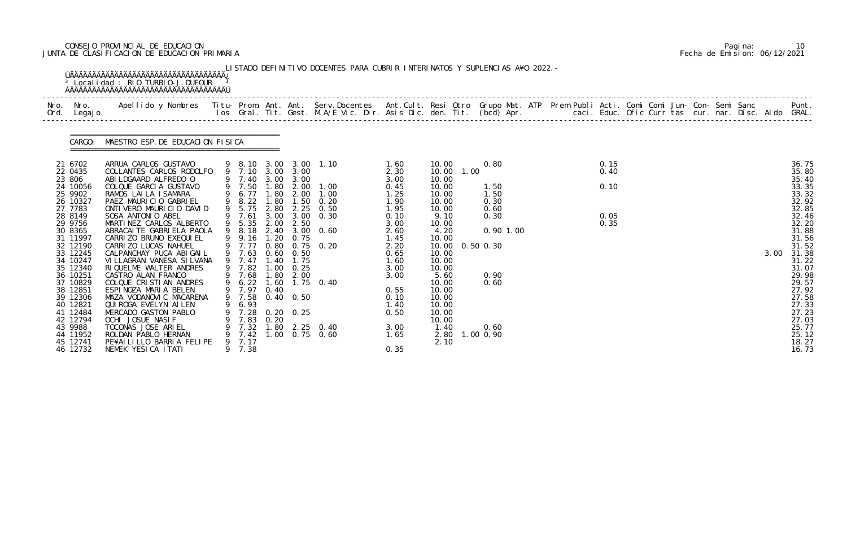# CONSEJO PROVINCIAL DE EDUCACION Pagina: 10 JUNTA DE CLASIFICACION DE EDUCACION PRIMARIA Fecha de Emision: 06/12/2021

| Nro. Nro.<br>Ord. Legajo                                                                                                                                                            | Apellido y Nombres  Titu- Prom. Ant. Ant. Serv.Docentes  Ant.Cult. Resi Otro Grupo Mat. ATP Prem Publi Acti. Comi Comi Jun- Con- Semi Sanc         Punt.<br>Ios Gral. Tit. Gest. M.A/E Vic. Dir. Asis Dic. den. Tit. (bcd) Apr.                                                                                                                                                                                          |   |                                                              |                      |                                                                                                           |                                                                                                                                                                                                                                                                           |                                                                                                                              |                                                                                                                                           |                                                                                              |  |                                      |  |  |      |                                                                                                                                              |
|-------------------------------------------------------------------------------------------------------------------------------------------------------------------------------------|--------------------------------------------------------------------------------------------------------------------------------------------------------------------------------------------------------------------------------------------------------------------------------------------------------------------------------------------------------------------------------------------------------------------------|---|--------------------------------------------------------------|----------------------|-----------------------------------------------------------------------------------------------------------|---------------------------------------------------------------------------------------------------------------------------------------------------------------------------------------------------------------------------------------------------------------------------|------------------------------------------------------------------------------------------------------------------------------|-------------------------------------------------------------------------------------------------------------------------------------------|----------------------------------------------------------------------------------------------|--|--------------------------------------|--|--|------|----------------------------------------------------------------------------------------------------------------------------------------------|
|                                                                                                                                                                                     | CARGO: MAESTRO ESP. DE EDUCACION FISICA                                                                                                                                                                                                                                                                                                                                                                                  |   |                                                              |                      |                                                                                                           |                                                                                                                                                                                                                                                                           |                                                                                                                              |                                                                                                                                           |                                                                                              |  |                                      |  |  |      |                                                                                                                                              |
| 21 6702<br>22 0435<br>23 806<br>24 10056<br>25 9902<br>26 10327<br>27 7783<br>28 8149<br>29 9756<br>30 8365<br>31 11997<br>32 12190<br>33 12245<br>34 10247<br>35 12340<br>36 10251 | ARRUA CARLOS GUSTAVO<br>COLLANTES CARLOS RODOLFO<br>ABI LDGAARD ALFREDO O<br>COLQUE GARCIA GUSTAVO<br>RAMOS LAILA ISAMARA<br>PAEZ MAURICIO GABRIEL<br>ONTIVERO MAURICIO DAVID<br>SOSA ANTONIO ABEL<br>MARTINEZ CARLOS ALBERTO<br>ABRACAI TE GABRI ELA PAOLA<br>CARRI ZO BRUNO EXEQUI EL<br>CARRIZO LUCAS NAHUEL<br>CALPANCHAY PUCA ABIGAIL<br>VI LLAGRAN VANESA SI LVANA<br>RIQUELME WALTER ANDRES<br>CASTRO ALAN FRANCO |   | 9 7.77<br>9 7.47<br>9 7.82                                   | 0.80<br>1.40         | 9 7.40 3.00 3.00<br>9 9.16 1.20 0.75<br>9 7.63 0.60 0.50<br>1.75<br>$1.00 \quad 0.25$<br>9 7.68 1.80 2.00 | 9 8.10 3.00 3.00 1.10<br>9 7.10 3.00 3.00<br>9 7.50 1.80 2.00 1.00<br>9 6.77 1.80 2.00 1.00<br>9 8.22 1.80 1.50 0.20<br>9 5.75 2.80 2.25 0.50<br>$9\quad 7.61\quad 3.00\quad 3.00\quad 0.30$<br>$9\quad 5.35\quad 2.00\quad 2.50$<br>9 8.18 2.40 3.00 0.60<br>$0.75$ 0.20 | 1.60<br>2.30<br>3.00<br>0.45<br>1.25<br>1.90<br>1.95<br>0.10<br>3.00<br>2.60<br>1.45<br>2.20<br>0.65<br>1.60<br>3.00<br>3.00 | 10.00<br>10.00<br>10.00<br>10.00<br>10.00<br>10.00<br>10.00<br>9.10<br>10.00<br>4.20<br>10.00<br>10.00<br>10.00<br>10.00<br>10.00<br>5.60 | 0.80<br>1.00<br>1.50<br>1.50<br>0.30<br>0.60<br>0.30<br>$0.90$ 1.00<br>$0.50$ $0.30$<br>0.90 |  | 0.15<br>0.40<br>0.10<br>0.05<br>0.35 |  |  | 3.00 | 36.75<br>35.80<br>35.40<br>33.35<br>33.32<br>32.92<br>32.85<br>32.46<br>32.20<br>31.88<br>31.56<br>31.52<br>31.38<br>31.22<br>31.07<br>29.98 |
| 37 10829<br>38 12851<br>39 12306<br>40 12821<br>41 12484<br>42 12794<br>43 9988<br>44 11952<br>45 12741<br>46 12732                                                                 | COLQUE CRISTIAN ANDRES<br>ESPINOZA MARIA BELEN<br>MAZA VODANOVIC MACARENA<br>QUI ROGA EVELYN AI LEN<br>MERCADO GASTON PABLO<br>OCHI JOSUE NASIF<br>TOCONAS JOSE ARIEL<br>ROLDAN PABLO HERNAN<br>PE¥AILILLO BARRIA FELIPE<br>NEMEK YESICA ITATI                                                                                                                                                                           | 9 | 9 7.97<br>6.93<br>7.83<br>7.32<br>9 7.42<br>9 7.17<br>9 7.38 | 0.40<br>0.20<br>1.00 | 9 7.58 0.40 0.50<br>7.28 0.20 0.25                                                                        | 9 6.22 1.60 1.75 0.40<br>1.80 2.25 0.40<br>$0.75$ 0.60                                                                                                                                                                                                                    | 0.55<br>0.10<br>1.40<br>0.50<br>3.00<br>1.65<br>0.35                                                                         | 10.00<br>10.00<br>10.00<br>10.00<br>10.00<br>10.00<br>1.40<br>2.80<br>2.10                                                                | 0.60<br>0.60<br>1.00 0.90                                                                    |  |                                      |  |  |      | 29.57<br>27.92<br>27.58<br>27.33<br>27.23<br>27.03<br>25.77<br>25.12<br>18.27<br>16.73                                                       |

|  | Pagi na: | 10                           |
|--|----------|------------------------------|
|  |          | Fecha de Emision: 06/12/2021 |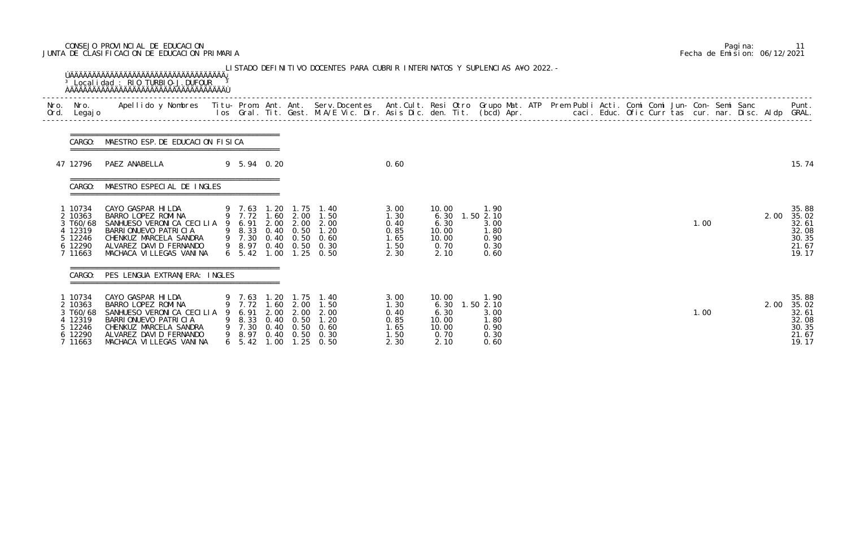# CONSEJO PROVINCIAL DE EDUCACION Pagina: 11 JUNTA DE CLASIFICACION DE EDUCACION PRIMARIA Fecha de Emision: 06/12/2021

| CARGO:                                                                   | MAESTRO ESP. DE EDUCACION FISICA                                                                                                                                                                   |                                                       |                                       |                                                          |                                                                                                                                                    |                                                        |                                                         |                                                           |  |  |  |      |      |                                                             |
|--------------------------------------------------------------------------|----------------------------------------------------------------------------------------------------------------------------------------------------------------------------------------------------|-------------------------------------------------------|---------------------------------------|----------------------------------------------------------|----------------------------------------------------------------------------------------------------------------------------------------------------|--------------------------------------------------------|---------------------------------------------------------|-----------------------------------------------------------|--|--|--|------|------|-------------------------------------------------------------|
| 47 12796                                                                 | PAEZ ANABELLA                                                                                                                                                                                      | 9 5.94 0.20                                           |                                       |                                                          |                                                                                                                                                    | 0.60                                                   |                                                         |                                                           |  |  |  |      |      | 15.74                                                       |
| CARGO:                                                                   | MAESTRO ESPECIAL DE INGLES                                                                                                                                                                         |                                                       |                                       |                                                          |                                                                                                                                                    |                                                        |                                                         |                                                           |  |  |  |      |      |                                                             |
| 10734<br>2 10363<br>3 T60/68<br>4 12319<br>5 12246<br>6 12290<br>7 11663 | CAYO GASPAR HI LDA<br>BARRO LOPEZ ROMINA<br>SANHUESO VERONICA CECILIA 9 6.91 2.00 2.00 2.00<br>BARRIONUEVO PATRICIA<br>CHENKUZ MARCELA SANDRA<br>ALVAREZ DAVID FERNANDO<br>MACHACA VILLEGAS VANINA |                                                       |                                       |                                                          | 9 7.63 1.20 1.75 1.40<br>9 7.72 1.60 2.00 1.50<br>9 8.33 0.40 0.50 1.20<br>9 7.30 0.40 0.50 0.60<br>9 8.97 0.40 0.50 0.30<br>6 5.42 1.00 1.25 0.50 | 3.00<br>1.30<br>0.40<br>0.85<br>1.65<br>1.50<br>2.30   | 10.00<br>6.30<br>6.30<br>10.00<br>10.00<br>0.70<br>2.10 | 1.90<br>1.502.10<br>3.00<br>1.80<br>0.90<br>0.30<br>0.60  |  |  |  | 1.00 | 2.00 | 35.88<br>35.02<br>32.61<br>32.08<br>30.35<br>21.67<br>19.17 |
| CARGO:                                                                   | PES LENGUA EXTRANJERA: INGLES                                                                                                                                                                      |                                                       |                                       |                                                          |                                                                                                                                                    |                                                        |                                                         |                                                           |  |  |  |      |      |                                                             |
| 1 10734<br>2 10363<br>3 T60/68<br>12319<br>12246<br>6 12290<br>7 11663   | CAYO GASPAR HILDA<br>BARRO LOPEZ ROMINA<br>SANHUESO VERONICA CECILIA<br>BARRIONUEVO PATRICIA<br>CHENKUZ MARCELA SANDRA<br>ALVAREZ DAVID FERNANDO<br>MACHACA VILLEGAS VANINA                        | 7.72<br>6.91<br>8.33<br>7.30<br>8.97<br>$6\quad 5.42$ | 1. 60<br>2.00<br>0.40<br>0.40<br>1.00 | 2.00<br>2.00<br>0.50<br>0.50<br>$0.40\quad 0.50$<br>1.25 | 9 7.63 1.20 1.75 1.40<br>1.50<br>2.00<br>1.20<br>0.60<br>0.30<br>0.50                                                                              | 3.00<br>1. 30<br>0.40<br>0.85<br>1. 65<br>1.50<br>2.30 | 10.00<br>6.30<br>6.30<br>10.00<br>10.00<br>0.70<br>2.10 | 1.90<br>1.50 2.10<br>3.00<br>1.80<br>0.90<br>0.30<br>0.60 |  |  |  | 1.00 | 2.00 | 35.88<br>35.02<br>32.61<br>32.08<br>30.35<br>21.67<br>19.17 |

|  | Pagi na: |                              |
|--|----------|------------------------------|
|  |          | Fecha de Emision: 06/12/2021 |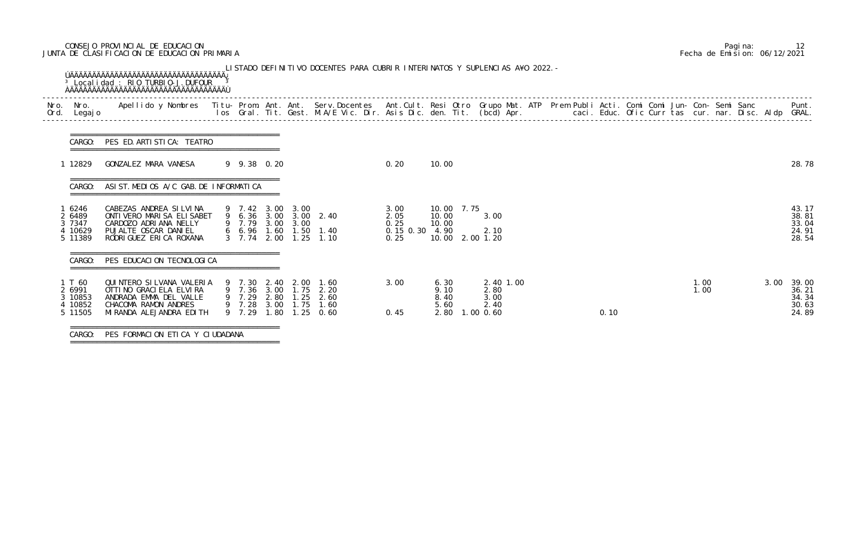# CONSEJO PROVINCIAL DE EDUCACION Pagina: 12 JUNTA DE CLASIFICACION DE EDUCACION PRIMARIA Fecha de Emision: 06/12/2021

| Nro.<br>Ord. | Nro.<br>Legaj o                                   | Apellido y Nombres  Titu- Prom. Ant. Ant. Serv.Docentes  Ant.Cult. Resi Otro Grupo Mat. ATP Prem Publi Acti. Comi Comi Jun- Con- Semi Sanc         Punt.<br>Ios Gral. Tit. Gest. M.A/E Vic. Dir. Asis Dic. den. Tit. (bcd) Apr. |                                                                                                                 |                        |                              |                                                |                                                 |                                                |  |      |  |              |      |                                           |
|--------------|---------------------------------------------------|---------------------------------------------------------------------------------------------------------------------------------------------------------------------------------------------------------------------------------|-----------------------------------------------------------------------------------------------------------------|------------------------|------------------------------|------------------------------------------------|-------------------------------------------------|------------------------------------------------|--|------|--|--------------|------|-------------------------------------------|
|              | CARGO:                                            | PES ED. ARTI STI CA: TEATRO                                                                                                                                                                                                     |                                                                                                                 |                        |                              |                                                |                                                 |                                                |  |      |  |              |      |                                           |
|              | 1 12829                                           | GONZALEZ MARA VANESA                                                                                                                                                                                                            | 9 9.38 0.20                                                                                                     |                        |                              | 0.20                                           | 10.00                                           |                                                |  |      |  |              |      | 28.78                                     |
|              | CARGO:                                            | ASI ST. MEDIOS A/C GAB. DE INFORMATICA                                                                                                                                                                                          |                                                                                                                 |                        |                              |                                                |                                                 |                                                |  |      |  |              |      |                                           |
|              | 6246<br>2 6489<br>3 7347<br>4 10629<br>5 11389    | CABEZAS ANDREA SILVINA<br>ONTI VERO MARI SA ELI SABET<br>CARDOZO ADRIANA NELLY<br>PUJALTE OSCAR DANIEL<br>RODRI GUEZ ERI CA ROXANA                                                                                              | 9 7.42 3.00 3.00<br>9 6.36 3.00 3.00 2.40<br>9 7.79 3.00 3.00<br>6 6.96 1.60 1.50 1.40<br>3 7.74 2.00 1.25 1.10 |                        |                              | 3.00<br>2.05<br>0.25<br>0.15 0.30 4.90<br>0.25 | 10.00 7.75<br>10.00<br>10.00<br>10.00 2.00 1.20 | 3.00<br>2.10                                   |  |      |  |              |      | 43.17<br>38.81<br>33.04<br>24.91<br>28.54 |
|              | CARGO:                                            | PES EDUCACION TECNOLOGICA                                                                                                                                                                                                       |                                                                                                                 |                        |                              |                                                |                                                 |                                                |  |      |  |              |      |                                           |
|              | 1 T 60<br>2 6991<br>3 10853<br>4 10852<br>5 11505 | QUINTERO SILVANA VALERIA<br>OTTI NO GRACI ELA ELVIRA<br>ANDRADA EMMA DEL VALLE<br>CHACOMA RAMON ANDRES<br>MI RANDA ALEJANDRA EDI TH                                                                                             | 9 7.30 2.40 2.00 1.60<br>9 7.36 3.00 1.75<br>9 7.29<br>9 7.28 3.00 1.75<br>9 7.29                               | 2.80 1.25<br>1.80 1.25 | 2.20<br>2.60<br>1.60<br>0.60 | 3.00<br>0.45                                   | 6.30<br>9.10<br>8.40<br>5.60<br>2.80            | 2.40 1.00<br>2.80<br>3.00<br>2.40<br>1.00 0.60 |  | 0.10 |  | 1.00<br>1.00 | 3.00 | 39.00<br>36.21<br>34.34<br>30.63<br>24.89 |

===============================================

|  | Pagi na: |                              |
|--|----------|------------------------------|
|  |          | Fecha de Emision: 06/12/2021 |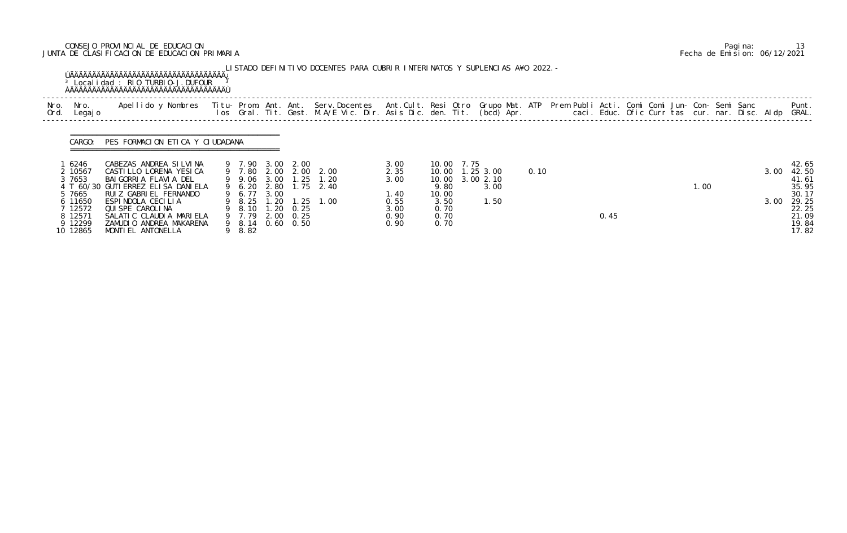# CONSEJO PROVINCIAL DE EDUCACION Pagina: 13 JUNTA DE CLASIFICACION DE EDUCACION PRIMARIA Fecha de Emision: 06/12/2021

|              |                    | <sup>3</sup> Local i dad: RIO TURBIO-J. DUFOUR                                                                                                                                                                                    |                       |       |                   | LISTADO DEFINITIVO DOCENTES PARA CUBRIR INTERINATOS Y SUPLENCIAS A¥O 2022. – |              |              |      |                   |      |  |      |  |      |  |      |                |
|--------------|--------------------|-----------------------------------------------------------------------------------------------------------------------------------------------------------------------------------------------------------------------------------|-----------------------|-------|-------------------|------------------------------------------------------------------------------|--------------|--------------|------|-------------------|------|--|------|--|------|--|------|----------------|
| Nro.<br>Ord. | Nro.<br>Legaj o    | Apellido y Nombres - Titu- Prom. Ant. Ant. Serv.Docentes - Ant.Cult. Resi Otro Grupo Mat. ATP Prem Publi Acti. Comi Comi Jun- Con- Semi Sanc - - - Punt.<br>Ios Gral. Tit. Gest. M.A/E Vic. Dir. Asis Dic. den. Tit. (bcd) Apr. - |                       |       |                   |                                                                              |              |              |      |                   |      |  |      |  |      |  |      |                |
|              | CARGO:             | PES FORMACION ETICA Y CIUDADANA                                                                                                                                                                                                   |                       |       |                   |                                                                              |              |              |      |                   |      |  |      |  |      |  |      |                |
|              |                    |                                                                                                                                                                                                                                   |                       |       |                   |                                                                              |              |              |      |                   |      |  |      |  |      |  |      |                |
|              | 6246<br>2 10567    | CABEZAS ANDREA SILVINA<br>CASTILLO LORENA YESICA                                                                                                                                                                                  | 9 7.90 3.00           |       | 2.00              | 9 7.80 2.00 2.00 2.00                                                        | 3.00<br>2.35 | 10.00        | 7.75 | 10.00  1.25  3.00 | 0.10 |  |      |  |      |  | 3.00 | 42.65<br>42.50 |
|              | 3 7653             | BAI GORRI A FLAVI A DEL                                                                                                                                                                                                           |                       |       |                   | 9 9.06 3.00 1.25 1.20                                                        | 3.00         | 10.00        |      | 3.00 2.10         |      |  |      |  |      |  |      | 41.61          |
|              |                    | 4 T 60/30 GUTI ERREZ ELI SA DANI ELA                                                                                                                                                                                              | 9 6.20                | 2.80  |                   | $1.75$ $2.40$                                                                |              | 9.80         |      | 3.00              |      |  |      |  | 1.00 |  |      | 35.95          |
|              | 5 7665             | RUIZ GABRIEL FERNANDO                                                                                                                                                                                                             | 9 6.77 3.00           |       |                   |                                                                              | 1.40         | 10.00        |      |                   |      |  |      |  |      |  |      | 30.17          |
|              | 6 11650<br>7 12572 | ESPINDOLA CECILIA<br>QUI SPE CAROLINA                                                                                                                                                                                             | 9 8.25<br>9 8.10 1.20 | 1. 20 | 0.25              | $1.25$ $1.00$                                                                | 0.55         | 3.50<br>0.70 |      | 1.50              |      |  |      |  |      |  | 3.00 | 29.25<br>22.25 |
|              | 8 12571            | SALATIC CLAUDIA MARIELA                                                                                                                                                                                                           | 9 7.79 2.00           |       | 0. 25             |                                                                              | 3.00<br>0.90 | 0.70         |      |                   |      |  | 0.45 |  |      |  |      | 21.09          |
|              | 9 12299            | ZAMUDIO ANDREA MAKARENA                                                                                                                                                                                                           | 9 8.14                |       | $0.60 \quad 0.50$ |                                                                              | 0.90         | 0.70         |      |                   |      |  |      |  |      |  |      | 19.84          |
|              | 10 12865           | MONTI EL ANTONELLA                                                                                                                                                                                                                | 9 8.82                |       |                   |                                                                              |              |              |      |                   |      |  |      |  |      |  |      | 17.82          |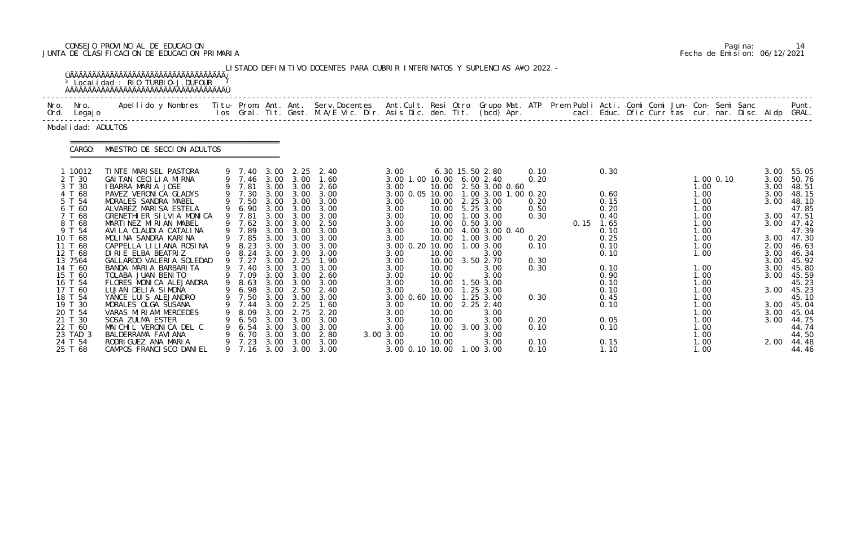# CONSEJO PROVINCIAL DE EDUCACION Pagina: 14 JUNTA DE CLASIFICACION DE EDUCACION PRIMARIA Fecha de Emision: 06/12/2021

|                                                                                                                                                                                                                                                           |                 | <sup>3</sup> Local i dad: RIO TURBIO-J. DUFOUR                                                                                                                                                                                                                                                                                                                                                                                                                                                                                                                                                            |                                                                                                                                                                                                                    |                                                                                                                                                                              |                                                                                                                                                                               | LISTADO DEFINITIVO DOCENTES PARA CUBRIR INTERINATOS Y SUPLENCIAS A¥O 2022. -                                                                                                                                     |                                                                                                                                                                                                                                                                             |                                                                                                                                              |                                                                                                                                                                                                                                                                                            |                                                                                                      |      |                                                                                                                                                      |  |                                                                                                                                                                      |               |                                                                                                                                              |                                                                                                                                                                                                                      |
|-----------------------------------------------------------------------------------------------------------------------------------------------------------------------------------------------------------------------------------------------------------|-----------------|-----------------------------------------------------------------------------------------------------------------------------------------------------------------------------------------------------------------------------------------------------------------------------------------------------------------------------------------------------------------------------------------------------------------------------------------------------------------------------------------------------------------------------------------------------------------------------------------------------------|--------------------------------------------------------------------------------------------------------------------------------------------------------------------------------------------------------------------|------------------------------------------------------------------------------------------------------------------------------------------------------------------------------|-------------------------------------------------------------------------------------------------------------------------------------------------------------------------------|------------------------------------------------------------------------------------------------------------------------------------------------------------------------------------------------------------------|-----------------------------------------------------------------------------------------------------------------------------------------------------------------------------------------------------------------------------------------------------------------------------|----------------------------------------------------------------------------------------------------------------------------------------------|--------------------------------------------------------------------------------------------------------------------------------------------------------------------------------------------------------------------------------------------------------------------------------------------|------------------------------------------------------------------------------------------------------|------|------------------------------------------------------------------------------------------------------------------------------------------------------|--|----------------------------------------------------------------------------------------------------------------------------------------------------------------------|---------------|----------------------------------------------------------------------------------------------------------------------------------------------|----------------------------------------------------------------------------------------------------------------------------------------------------------------------------------------------------------------------|
| Nro.<br>Ord.                                                                                                                                                                                                                                              | Nro.<br>Legaj o | Apellido y Nombres - Titu- Prom. Ant. Ant. Serv.Docentes - Ant.Cult. Resi Otro Grupo Mat. ATP - Prem Publi Acti. Comi Comi Jun- Con- Semi Sanc - Semi Sanc - Semi Sanc - Ios Gral. Tit. Gest. M.A/E Vic. Dir. Asis Dic. den. T                                                                                                                                                                                                                                                                                                                                                                            |                                                                                                                                                                                                                    |                                                                                                                                                                              |                                                                                                                                                                               |                                                                                                                                                                                                                  |                                                                                                                                                                                                                                                                             |                                                                                                                                              |                                                                                                                                                                                                                                                                                            |                                                                                                      |      |                                                                                                                                                      |  |                                                                                                                                                                      |               |                                                                                                                                              | Punt.<br>caci. Educ. Ofic Curr tas cur. nar. Disc. Aldp GRAL.                                                                                                                                                        |
| Modal i dad: ADULTOS                                                                                                                                                                                                                                      |                 |                                                                                                                                                                                                                                                                                                                                                                                                                                                                                                                                                                                                           |                                                                                                                                                                                                                    |                                                                                                                                                                              |                                                                                                                                                                               |                                                                                                                                                                                                                  |                                                                                                                                                                                                                                                                             |                                                                                                                                              |                                                                                                                                                                                                                                                                                            |                                                                                                      |      |                                                                                                                                                      |  |                                                                                                                                                                      |               |                                                                                                                                              |                                                                                                                                                                                                                      |
|                                                                                                                                                                                                                                                           | CARGO:          | MAESTRO DE SECCION ADULTOS                                                                                                                                                                                                                                                                                                                                                                                                                                                                                                                                                                                |                                                                                                                                                                                                                    |                                                                                                                                                                              |                                                                                                                                                                               |                                                                                                                                                                                                                  |                                                                                                                                                                                                                                                                             |                                                                                                                                              |                                                                                                                                                                                                                                                                                            |                                                                                                      |      |                                                                                                                                                      |  |                                                                                                                                                                      |               |                                                                                                                                              |                                                                                                                                                                                                                      |
| 10012<br>2 T 30<br>3 T 30<br>T 68<br>5 T 54<br>6 T 60<br>7 T 68<br>8 T 68<br>9 T 54<br>10 T 68<br>11 T 68<br>12 T 68<br>13 7564<br>14 T 60<br>15 T 60<br>16 T 54<br>17 T 60<br>18 T 54<br>19 T 30<br>20 T 54<br>21 T 30<br>22 T 60<br>23 TAD 3<br>24 T 54 |                 | TINTE MARISEL PASTORA<br>GAI TAN CECILIA MIRNA<br>I BARRA MARIA JOSE<br>PAVEZ VERONICA GLADYS<br>MORALES SANDRA MABEL<br>ALVAREZ MARISA ESTELA<br>GRENETHIER SILVIA MONICA<br>MARTINEZ MIRIAN MABEL<br>AVI LA CLAUDI A CATALI NA<br>MOLINA SANDRA KARINA<br>CAPPELLA LILIANA ROSINA<br>DIRIE ELBA BEATRIZ<br>GALLARDO VALERIA SOLEDAD<br>BANDA MARIA BARBARITA<br>TOLABA JUAN BENITO<br>FLORES MONICA ALEJANDRA<br>LUJAN DELIA SIMONA<br>YANCE LUIS ALEJANDRO<br>MORALES OLGA SUSANA<br>VARAS MIRIAM MERCEDES<br>SOSA ZULMA ESTER<br>MAICHIL VERONICA DEL C<br>BALDERRAMA FAVI ANA<br>RODRIGUEZ ANA MARIA | 9 7.40<br>9 7.46<br>7.81<br>9 7.30<br>9 7.50<br>9 6.90<br>7.81<br>7.62<br>9 7.89<br>9 7.85<br>8.23<br>8.24<br>9 7.27<br>7.40<br>9 7.09<br>9 8.63<br>6.98<br>9 7.50<br>7.44<br>8.09<br>6.50<br>6.54<br>6.70<br>7.23 | 3.00<br>3.00<br>3.00<br>3.00<br>3.00<br>3.00<br>3.00<br>3.00<br>3.00<br>3.00<br>3.00<br>3.00<br>3.00<br>3.00<br>3.00<br>3.00<br>3.00<br>3.00<br>3.00<br>3.00<br>3.00<br>3.00 | 2. 25<br>3.00<br>3.00<br>3.00<br>3.00<br>3.00<br>3.00<br>3.00<br>3.00<br>3.00<br>3.00<br>3.00<br>2.25<br>3.00<br>3.00<br>3.00<br>2.50<br>2.25<br>2.75<br>3.00<br>3.00<br>3.00 | 2.40<br>1.60<br>2.60<br>3.00<br>3.00<br>3.00<br>3.00<br>2.50<br>3.00<br>3.00<br>3.00<br>3.00<br>1.90<br>3.00<br>2.60<br>3.00<br>2.40<br>3.00 3.00 3.00<br>1.60<br>2.20<br>3.00<br>3.00<br>2.80<br>3.00 3.00 3.00 | 3.00<br>3.00 1.00 10.00 6.00 2.40<br>3.00<br>3.00 0.05 10.00 1.00 3.00 1.00 0.20<br>3.00<br>3.00<br>3.00<br>3.00<br>3.00<br>3.00<br>3.00 0.20 10.00<br>3.00<br>3.00<br>3.00<br>3.00<br>3.00<br>3.00<br>3.00 0.60 10.00<br>3.00<br>3.00<br>3.00<br>3.00<br>3.00 3.00<br>3.00 | 10.00<br>10.00<br>10.00<br>10.00<br>10.00<br>10.00<br>10.00<br>10.00<br>10.00<br>10.00<br>10.00<br>10.00<br>10.00<br>10.00<br>10.00<br>10.00 | 6.30 15.50 2.80<br>10.00 2.50 3.00 0.60<br>2.25 3.00<br>10.00 5.25 3.00<br>10.00  1.00  3.00<br>0.50 3.00<br>4.00 3.00 0.40<br>1.003.00<br>1.00 3.00<br>3.00<br>3.50 2.70<br>3.00<br>3.00<br>1.50 3.00<br>1.25 3.00<br>1.25 3.00<br>2.25 2.40<br>3.00<br>3.00<br>3.00 3.00<br>3.00<br>3.00 | 0.10<br>0.20<br>0.20<br>0.50<br>0.30<br>0.20<br>0.10<br>0.30<br>0.30<br>0.30<br>0.20<br>0.10<br>0.10 | 0.15 | 0.30<br>0.60<br>0.15<br>0.20<br>0.40<br>1.65<br>0.10<br>0.25<br>0.10<br>0.10<br>0.10<br>0.90<br>0.10<br>0.10<br>0.45<br>0.10<br>0.05<br>0.10<br>0.15 |  | 1.00<br>1.00<br>1.00<br>1.00<br>1.00<br>1.00<br>1.00<br>1.00<br>1.00<br>1.00<br>1.00<br>1.00<br>1.00<br>1.00<br>1.00<br>1.00<br>1.00<br>1.00<br>1.00<br>1.00<br>1.00 | $1.00$ $0.10$ | 3.00<br>3.00<br>3.00<br>3.00<br>3.00<br>3.00<br>3.00<br>3.00<br>2.00<br>3.00<br>3.00<br>3.00<br>3.00<br>3.00<br>3.00<br>3.00<br>3.00<br>2.00 | 55.05<br>50.76<br>48.51<br>48.15<br>48.10<br>47.85<br>47.51<br>47.42<br>47.39<br>47.30<br>46.63<br>46.34<br>45.92<br>45.80<br>45.59<br>45.23<br>45.23<br>45.10<br>45.04<br>45.04<br>44.75<br>44.74<br>44.50<br>44.48 |

|  | Pagi na: |                              |
|--|----------|------------------------------|
|  |          | Fecha de Emision: 06/12/2021 |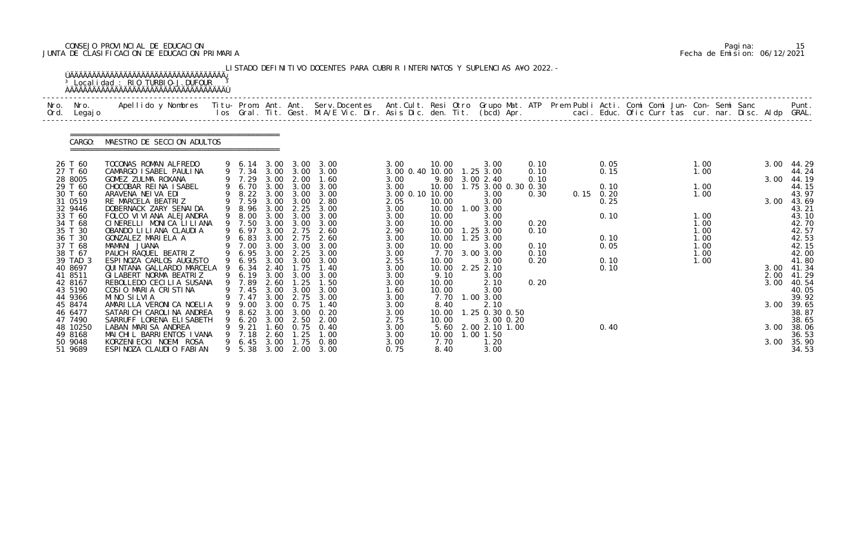# CONSEJO PROVINCIAL DE EDUCACION Pagina: 15 JUNTA DE CLASIFICACION DE EDUCACION PRIMARIA Fecha de Emision: 06/12/2021

|              |                     | <u>ÚÄÄÄÄÄÄÄÄÄÄÄÄÄÄÄÄÄÄÄÄÄÄÄÄÄÄÄÄÄÄÄÄÄÄÄ</u><br><sup>3</sup> Local i dad: RIO TURBIO-J. DUFOUR                                                                                                                                     |   |                  |              |                   | LISTADO DEFINITIVO DOCENTES PARA CUBRIR INTERINATOS Y SUPLENCIAS A¥O 2022. - |                                   |                |                        |              |             |  |              |  |      |                |
|--------------|---------------------|-----------------------------------------------------------------------------------------------------------------------------------------------------------------------------------------------------------------------------------|---|------------------|--------------|-------------------|------------------------------------------------------------------------------|-----------------------------------|----------------|------------------------|--------------|-------------|--|--------------|--|------|----------------|
| Nro.<br>Ord. | Nro.<br>Legaj o     | Apellido y Nombres - Titu- Prom. Ant. Ant. Serv.Docentes - Ant.Cult. Resi Otro Grupo Mat. ATP Prem Publi Acti. Comi Comi Jun- Con- Semi Sanc - - - Punt.<br>Ios Gral. Tit. Gest. M.A/E Vic. Dir. Asis Dic. den. Tit. (bcd) Apr. - |   |                  |              |                   |                                                                              |                                   |                |                        |              |             |  |              |  |      |                |
|              | CARGO:              | MAESTRO DE SECCION ADULTOS                                                                                                                                                                                                        |   |                  |              |                   |                                                                              |                                   |                |                        |              |             |  |              |  |      |                |
|              | 26 T 60             | TOCONAS ROMAN ALFREDO                                                                                                                                                                                                             |   | 9 6.14           |              |                   | 3.00 3.00 3.00                                                               | 3.00                              | 10.00          | 3.00                   | 0.10         | 0.05        |  | 1.00         |  | 3.00 | 44.29          |
|              | 27 T 60<br>28 8005  | CAMARGO I SABEL PAULINA<br>GOMEZ ZULMA ROXANA                                                                                                                                                                                     |   | 9 7.34<br>9 7.29 | 3.00         | 3.00 3.00<br>2.00 | 3.00<br>1.60                                                                 | 3.00 0.40 10.00 1.25 3.00<br>3.00 | 9.80           | 3.00 2.40              | 0.10<br>0.10 | 0.15        |  | 1.00         |  | 3.00 | 44.24<br>44.19 |
|              | 29 T 60             | CHOCOBAR REINA ISABEL                                                                                                                                                                                                             |   | 6.70             | 3.00         | 3.00              | 3.00                                                                         | 3.00                              | 10.00          | 1.75 3.00 0.30 0.30    |              | 0.10        |  | 1.00         |  |      | 44.15          |
|              | 30 T 60             | ARAVENA NEIVA EDI                                                                                                                                                                                                                 |   | 8.22             |              | 3.00 3.00         | 3.00                                                                         | 3.00 0.10 10.00                   |                | 3.00                   | 0.30         | $0.15$ 0.20 |  | 1.00         |  |      | 43.97          |
|              | 31 0519             | RE MARCELA BEATRIZ                                                                                                                                                                                                                |   | 7.59             | 3.00         | 3.00              | 2.80                                                                         | 2.05                              | 10.00          | 3.00                   |              | 0.25        |  |              |  | 3.00 | 43.69          |
|              | 32 9446<br>33 T 60  | DOBERNACK ZARY SENAI DA<br>FOLCO VI VI ANA ALEJANDRA                                                                                                                                                                              |   | 9 8.96<br>9 8.00 | 3.00<br>3.00 | 2.25<br>3.00      | 3.00<br>3.00                                                                 | 3.00<br>3.00                      | 10.00<br>10.00 | 1.00 3.00<br>3.00      |              | 0.10        |  | 1.00         |  |      | 43.21<br>43.10 |
|              | 34 T 68             | CINERELLI MONICA LILIANA                                                                                                                                                                                                          |   | 9 7.50           | 3.00         | 3.00              | 3.00                                                                         | 3.00                              | 10.00          | 3.00                   | 0.20         |             |  | 1.00         |  |      | 42.70          |
|              | 35 T 30             | OBANDO LI LI ANA CLAUDI A                                                                                                                                                                                                         |   | 6.97             | 3.00         | 2.75              | 2.60                                                                         | 2.90                              | 10.00          | $1.25$ $3.00$          | 0.10         |             |  | 1.00         |  |      | 42.57          |
|              | 36 T 30             | GONZALEZ MARIELA A                                                                                                                                                                                                                |   | 6.83             | 3.00         | 2.75              | 2.60                                                                         | 3.00                              | 10.00          | $1.25$ $3.00$          |              | 0.10        |  | 1.00         |  |      | 42.53          |
|              | 37 T 68             | MAMANI JUANA                                                                                                                                                                                                                      |   | 9 7.00           | 3.00         | 3.00              | 3.00                                                                         | 3.00                              | 10.00          | 3.00                   | 0.10         | 0.05        |  | 1.00         |  |      | 42.15          |
|              | 38 T 67<br>39 TAD 3 | PAUCH RAQUEL BEATRIZ<br>ESPINOZA CARLOS AUGUSTO                                                                                                                                                                                   | 9 | 6.95<br>6.95     | 3.00         | 2.25<br>3.00 3.00 | 3.00<br>3.00                                                                 | 3.00<br>2.55                      | 7.70<br>10.00  | 3.00 3.00<br>3.00      | 0.10<br>0.20 | 0.10        |  | 1.00<br>1.00 |  |      | 42.00<br>41.80 |
|              | 40 8697             | QUINTANA GALLARDO MARCELA                                                                                                                                                                                                         |   | 6.34             | 2.40         | 1.75              | 1.40                                                                         | 3.00                              | 10.00          | 2.25 2.10              |              | 0.10        |  |              |  | 3.00 | 41.34          |
|              | 41 8511             | GI LABERT NORMA BEATRIZ                                                                                                                                                                                                           |   | 6.19             |              | 3.00 3.00         | 3.00                                                                         | 3.00                              | 9.10           | 3.00                   |              |             |  |              |  | 2.00 | 41.29          |
|              | 42 8167             | REBOLLEDO CECILIA SUSANA                                                                                                                                                                                                          |   | 9 7.89           | 2.60         | 1.25              | 1.50                                                                         | 3.00                              | 10.00          | 2.10                   | 0.20         |             |  |              |  | 3.00 | 40. 54         |
|              | 43 5190<br>44 9366  | COSIO MARIA CRISTINA<br>MINO SILVIA                                                                                                                                                                                               |   | 9 7.45<br>9 7.47 | 3.00         | 3.00<br>3.00 2.75 | 3.00<br>3.00                                                                 | 1.60<br>3.00                      | 10.00          | 3.00<br>7.70 1.00 3.00 |              |             |  |              |  |      | 40.05<br>39.92 |
|              | 45 8474             | AMARILLA VERONICA NOELIA                                                                                                                                                                                                          |   | 9.00             | 3.00         | 0.75              | 1.40                                                                         | 3.00                              | 8.40           | 2.10                   |              |             |  |              |  | 3.00 | 39.65          |
|              | 46 6477             | SATARI CH CAROLINA ANDREA                                                                                                                                                                                                         |   | 8.62             | 3.00         | 3.00              | 0. 20                                                                        | 3.00                              | 10.00          | 1.25 0.30 0.50         |              |             |  |              |  |      | 38.87          |
|              | 47 7490             | SARRUFF LORENA ELI SABETH                                                                                                                                                                                                         |   | 6.20             | 3.00         | 2.50              | 2.00                                                                         | 2.75                              | 10.00          | 3.00 0.20              |              |             |  |              |  |      | 38.65          |
|              | 48 10250            | LABAN MARISA ANDREA                                                                                                                                                                                                               |   | 9.21             | . 60         | 0.75              | 0.40                                                                         | 3.00                              | 5.60           | 2.00 2.10 1.00         |              | 0.40        |  |              |  | 3.00 | 38.06          |
|              | 49 8168<br>50 9048  | MAICHIL BARRIENTOS IVANA<br>KORZENI ECKI NOEMI ROSA                                                                                                                                                                               |   | 7.18<br>6.45     | 2.60<br>3.00 | . 25<br>1.75      | 1.00<br>0.80                                                                 | 3.00<br>3.00                      | 10.00<br>7.70  | 1.00 1.50<br>1.20      |              |             |  |              |  | 3.00 | 36.53<br>35.90 |
|              | 51 9689             | ESPINOZA CLAUDIO FABIAN                                                                                                                                                                                                           |   | 9 5.38           | 3.00         | 2.00              | 3.00                                                                         | 0.75                              | 8.40           | 3.00                   |              |             |  |              |  |      | 34.53          |

|  | Pagi na: | 15                           |
|--|----------|------------------------------|
|  |          | Fecha de Emision: 06/12/2021 |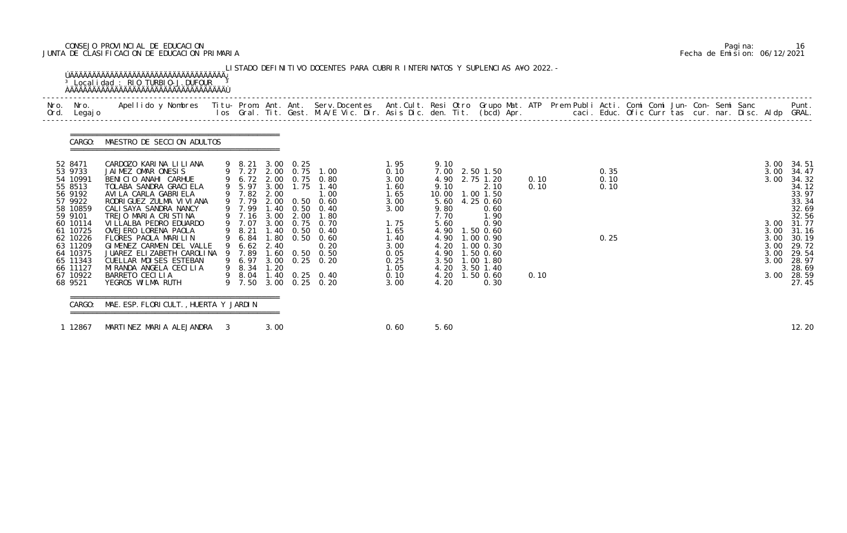# CONSEJO PROVINCIAL DE EDUCACION Pagina: 16 JUNTA DE CLASIFICACION DE EDUCACION PRIMARIA Fecha de Emision: 06/12/2021

| Nro.<br>Nro.<br>Ord. Legajo                                                                                        | Apellido y Nombres  Titu- Prom. Ant. Ant.  Serv.Docentes  Ant.Cult. Resi Otro  Grupo Mat. ATP  Prem Publi Acti. Comi Comi Jun- Con- Semi Sanc              Punt.<br>Ios Gral. Tit. Gest. M.A/E Vic. Dir. Asis Dic. den. Tit. (bcd                            |                                                                    |      |           |                                                                                                                                                                 |                                                                      |                                                                                                                                          |                                                                  |              |                      |  |  |                                              |                                                                                             |
|--------------------------------------------------------------------------------------------------------------------|--------------------------------------------------------------------------------------------------------------------------------------------------------------------------------------------------------------------------------------------------------------|--------------------------------------------------------------------|------|-----------|-----------------------------------------------------------------------------------------------------------------------------------------------------------------|----------------------------------------------------------------------|------------------------------------------------------------------------------------------------------------------------------------------|------------------------------------------------------------------|--------------|----------------------|--|--|----------------------------------------------|---------------------------------------------------------------------------------------------|
| CARGO:                                                                                                             | MAESTRO DE SECCION ADULTOS                                                                                                                                                                                                                                   |                                                                    |      |           |                                                                                                                                                                 |                                                                      |                                                                                                                                          |                                                                  |              |                      |  |  |                                              |                                                                                             |
| 52 8471<br>53 9733<br>54 10991<br>55 8513<br>56 9192<br>57 9922<br>58 10859                                        | CARDOZO KARINA LILIANA<br>JAIMEZ OMAR ONESIS<br>BENICIO ANAHI CARHUE<br>TOLABA SANDRA GRACI ELA<br>AVI LA CARLA GABRI ELA<br>RODRI GUEZ ZULMA VI VI ANA<br>CALI SAYA SANDRA NANCY                                                                            | 9 8.21 3.00 0.25<br>9 7.27<br>9 5.97<br>9 7.82<br>9 7.79<br>9 7.99 | 2.00 | 3.00 1.75 | 2.00 0.75 1.00<br>9 6.72 2.00 0.75 0.80<br>1.40<br>1.00<br>2.00 0.50 0.60<br>1.40 0.50 0.40                                                                     | 1.95<br>0.10<br>3.00<br>1.60<br>1.65<br>3.00<br>3.00                 | 9.10<br>7.00<br>4.90<br>9.10<br>10.00<br>5.60<br>9.80                                                                                    | 2.50 1.50<br>2.75 1.20<br>2.10<br>1.00 1.50<br>4.25 0.60<br>0.60 | 0.10<br>0.10 | 0.35<br>0.10<br>0.10 |  |  | 3.00<br>3.00<br>3.00                         | - 34.51<br>34.47<br>34.32<br>34.12<br>33.97<br>33.34<br>32.69                               |
| 59 9101<br>60 10114<br>61 10725<br>62 10226<br>63 11209<br>64 10375<br>65 11343<br>66 11127<br>67 10922<br>68 9521 | TREJO MARIA CRISTINA<br>VI LLALBA PEDRO EDUARDO<br>OVEJERO LORENA PAOLA<br>FLORES PAOLA MARILIN<br>GIMENEZ CARMEN DEL VALLE<br>JUAREZ ELIZABETH CAROLINA 9 7.89<br>CUELLAR MOISES ESTEBAN<br>MI RANDA ANGELA CECILIA<br>BARRETO CECILIA<br>YEGROS WILMA RUTH | 9 7.16<br>9 7.07<br>9 8.21<br>9 6.84<br>9 6.62 2.40<br>9 8.34 1.20 | 3.00 | 2.00      | 1.80<br>3.00 0.75 0.70<br>1.40 0.50 0.40<br>1.80 0.50 0.60<br>0.20<br>1.60 0.50 0.50<br>9 6.97 3.00 0.25 0.20<br>9 8.04 1.40 0.25 0.40<br>9 7.50 3.00 0.25 0.20 | 1.75<br>1.65<br>1.40<br>3.00<br>0.05<br>0.25<br>1.05<br>0.10<br>3.00 | 7.70<br>5.60<br>4.90<br>4.90 1.00 0.90<br>4.20 1.00 0.30<br>4.90 1.50 0.60<br>3.50 1.00 1.80<br>4.20 3.50 1.40<br>4.20 1.50 0.60<br>4.20 | 1.90<br>0.90<br>$1.50 \t0.60$<br>0.30                            | 0.10         | 0.25                 |  |  | 3.00<br>3.00<br>3.00<br>3.00<br>3.00<br>3.00 | 32.56<br>3.00 31.77<br>31.16<br>30.19<br>29.72<br>29.54<br>28.97<br>28.69<br>28.59<br>27.45 |

|  | Pagi na: | 16                           |
|--|----------|------------------------------|
|  |          | Fecha de Emision: 06/12/2021 |